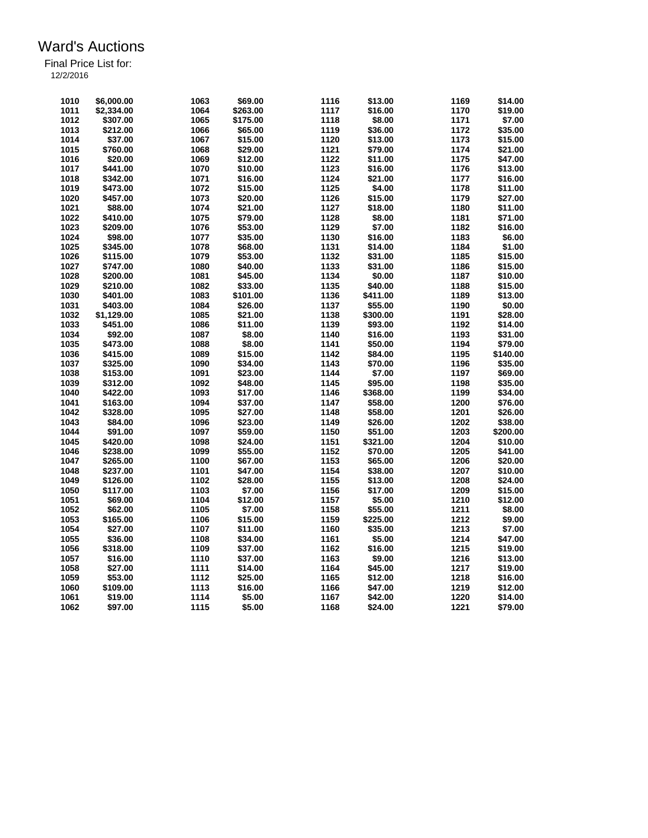| 1010 | \$6,000.00 | 1063 | \$69.00  | 1116 | \$13.00  | 1169 | \$14.00  |
|------|------------|------|----------|------|----------|------|----------|
|      |            |      |          |      |          |      |          |
| 1011 | \$2,334.00 | 1064 | \$263.00 | 1117 | \$16.00  | 1170 | \$19.00  |
| 1012 | \$307.00   | 1065 | \$175.00 | 1118 | \$8.00   | 1171 | \$7.00   |
| 1013 | \$212.00   | 1066 | \$65.00  | 1119 | \$36.00  | 1172 | \$35.00  |
| 1014 | \$37.00    | 1067 | \$15.00  | 1120 | \$13.00  | 1173 | \$15.00  |
| 1015 | \$760.00   | 1068 | \$29.00  | 1121 | \$79.00  | 1174 | \$21.00  |
| 1016 | \$20.00    | 1069 | \$12.00  | 1122 | \$11.00  | 1175 | \$47.00  |
| 1017 | \$441.00   | 1070 | \$10.00  | 1123 | \$16.00  | 1176 | \$13.00  |
| 1018 | \$342.00   | 1071 | \$16.00  | 1124 | \$21.00  | 1177 | \$16.00  |
| 1019 | \$473.00   | 1072 | \$15.00  | 1125 | \$4.00   | 1178 | \$11.00  |
| 1020 | \$457.00   | 1073 | \$20.00  | 1126 | \$15.00  | 1179 | \$27.00  |
| 1021 | \$88.00    | 1074 | \$21.00  | 1127 | \$18.00  | 1180 | \$11.00  |
| 1022 | \$410.00   | 1075 | \$79.00  | 1128 | \$8.00   | 1181 | \$71.00  |
| 1023 | \$209.00   | 1076 | \$53.00  | 1129 | \$7.00   | 1182 | \$16.00  |
| 1024 | \$98.00    | 1077 | \$35.00  | 1130 | \$16.00  | 1183 | \$6.00   |
| 1025 | \$345.00   | 1078 | \$68.00  | 1131 | \$14.00  | 1184 | \$1.00   |
| 1026 | \$115.00   | 1079 | \$53.00  | 1132 | \$31.00  | 1185 | \$15.00  |
| 1027 | \$747.00   | 1080 | \$40.00  | 1133 | \$31.00  | 1186 | \$15.00  |
| 1028 | \$200.00   | 1081 | \$45.00  | 1134 | \$0.00   | 1187 | \$10.00  |
| 1029 | \$210.00   | 1082 | \$33.00  | 1135 | \$40.00  | 1188 | \$15.00  |
| 1030 | \$401.00   | 1083 | \$101.00 | 1136 | \$411.00 | 1189 | \$13.00  |
| 1031 | \$403.00   | 1084 | \$26.00  | 1137 | \$55.00  | 1190 | \$0.00   |
| 1032 | \$1,129.00 | 1085 | \$21.00  | 1138 | \$300.00 | 1191 | \$28.00  |
| 1033 |            |      |          | 1139 |          | 1192 |          |
|      | \$451.00   | 1086 | \$11.00  | 1140 | \$93.00  |      | \$14.00  |
| 1034 | \$92.00    | 1087 | \$8.00   |      | \$16.00  | 1193 | \$31.00  |
| 1035 | \$473.00   | 1088 | \$8.00   | 1141 | \$50.00  | 1194 | \$79.00  |
| 1036 | \$415.00   | 1089 | \$15.00  | 1142 | \$84.00  | 1195 | \$140.00 |
| 1037 | \$325.00   | 1090 | \$34.00  | 1143 | \$70.00  | 1196 | \$35.00  |
| 1038 | \$153.00   | 1091 | \$23.00  | 1144 | \$7.00   | 1197 | \$69.00  |
| 1039 | \$312.00   | 1092 | \$48.00  | 1145 | \$95.00  | 1198 | \$35.00  |
| 1040 | \$422.00   | 1093 | \$17.00  | 1146 | \$368.00 | 1199 | \$34.00  |
| 1041 | \$163.00   | 1094 | \$37.00  | 1147 | \$58.00  | 1200 | \$76.00  |
| 1042 | \$328.00   | 1095 | \$27.00  | 1148 | \$58.00  | 1201 | \$26.00  |
| 1043 | \$84.00    | 1096 | \$23.00  | 1149 | \$26.00  | 1202 | \$38.00  |
| 1044 | \$91.00    | 1097 | \$59.00  | 1150 | \$51.00  | 1203 | \$200.00 |
| 1045 | \$420.00   | 1098 | \$24.00  | 1151 | \$321.00 | 1204 | \$10.00  |
| 1046 | \$238.00   | 1099 | \$55.00  | 1152 | \$70.00  | 1205 | \$41.00  |
| 1047 | \$265.00   | 1100 | \$67.00  | 1153 | \$65.00  | 1206 | \$20.00  |
| 1048 | \$237.00   | 1101 | \$47.00  | 1154 | \$38.00  | 1207 | \$10.00  |
| 1049 | \$126.00   | 1102 | \$28.00  | 1155 | \$13.00  | 1208 | \$24.00  |
| 1050 | \$117.00   | 1103 | \$7.00   | 1156 | \$17.00  | 1209 | \$15.00  |
| 1051 | \$69.00    | 1104 | \$12.00  | 1157 | \$5.00   | 1210 | \$12.00  |
| 1052 | \$62.00    | 1105 | \$7.00   | 1158 | \$55.00  | 1211 | \$8.00   |
| 1053 | \$165.00   | 1106 | \$15.00  | 1159 | \$225.00 | 1212 | \$9.00   |
| 1054 | \$27.00    | 1107 | \$11.00  | 1160 | \$35.00  | 1213 | \$7.00   |
| 1055 | \$36.00    | 1108 | \$34.00  | 1161 | \$5.00   | 1214 | \$47.00  |
| 1056 | \$318.00   | 1109 | \$37.00  | 1162 | \$16.00  | 1215 | \$19.00  |
| 1057 | \$16.00    | 1110 | \$37.00  | 1163 | \$9.00   | 1216 | \$13.00  |
|      |            |      |          | 1164 |          |      |          |
| 1058 | \$27.00    | 1111 | \$14.00  |      | \$45.00  | 1217 | \$19.00  |
| 1059 | \$53.00    | 1112 | \$25.00  | 1165 | \$12.00  | 1218 | \$16.00  |
| 1060 | \$109.00   | 1113 | \$16.00  | 1166 | \$47.00  | 1219 | \$12.00  |
| 1061 | \$19.00    | 1114 | \$5.00   | 1167 | \$42.00  | 1220 | \$14.00  |
| 1062 | \$97.00    | 1115 | \$5.00   | 1168 | \$24.00  | 1221 | \$79.00  |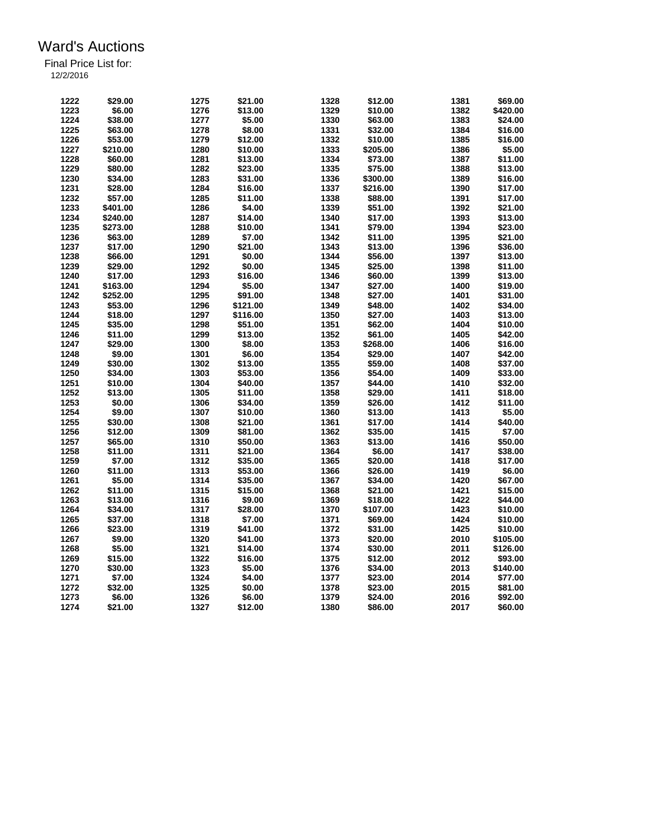| 1222 | \$29.00            | 1275 | \$21.00  | 1328 | \$12.00  | 1381 | \$69.00  |
|------|--------------------|------|----------|------|----------|------|----------|
| 1223 | \$6.00             | 1276 | \$13.00  | 1329 | \$10.00  | 1382 | \$420.00 |
| 1224 | \$38.00            |      | \$5.00   |      |          | 1383 | \$24.00  |
|      |                    | 1277 |          | 1330 | \$63.00  |      |          |
| 1225 | \$63.00            | 1278 | \$8.00   | 1331 | \$32.00  | 1384 | \$16.00  |
| 1226 | \$53.00            | 1279 | \$12.00  | 1332 | \$10.00  | 1385 | \$16.00  |
| 1227 | \$210.00           | 1280 | \$10.00  | 1333 | \$205.00 | 1386 | \$5.00   |
| 1228 | \$60.00            | 1281 | \$13.00  | 1334 | \$73.00  | 1387 | \$11.00  |
| 1229 | \$80.00            | 1282 | \$23.00  | 1335 | \$75.00  | 1388 | \$13.00  |
| 1230 | \$34.00            | 1283 | \$31.00  | 1336 | \$300.00 | 1389 | \$16.00  |
| 1231 | \$28.00            | 1284 | \$16.00  | 1337 | \$216.00 | 1390 | \$17.00  |
| 1232 | \$57.00            | 1285 | \$11.00  | 1338 | \$88.00  | 1391 | \$17.00  |
| 1233 | \$401.00           | 1286 | \$4.00   | 1339 | \$51.00  | 1392 | \$21.00  |
| 1234 | \$240.00           | 1287 | \$14.00  | 1340 | \$17.00  | 1393 | \$13.00  |
| 1235 | \$273.00           | 1288 | \$10.00  | 1341 | \$79.00  | 1394 | \$23.00  |
| 1236 | \$63.00            | 1289 | \$7.00   | 1342 | \$11.00  | 1395 | \$21.00  |
| 1237 | \$17.00            | 1290 | \$21.00  | 1343 | \$13.00  | 1396 | \$36.00  |
| 1238 | \$66.00            | 1291 | \$0.00   | 1344 | \$56.00  | 1397 | \$13.00  |
| 1239 | \$29.00            | 1292 | \$0.00   | 1345 | \$25.00  | 1398 | \$11.00  |
| 1240 | \$17.00            | 1293 | \$16.00  | 1346 | \$60.00  | 1399 | \$13.00  |
| 1241 | \$163.00           | 1294 | \$5.00   | 1347 | \$27.00  | 1400 | \$19.00  |
| 1242 | \$252.00           | 1295 | \$91.00  | 1348 | \$27.00  | 1401 | \$31.00  |
| 1243 | \$53.00            | 1296 | \$121.00 | 1349 | \$48.00  | 1402 | \$34.00  |
| 1244 | \$18.00            | 1297 | \$116.00 | 1350 | \$27.00  | 1403 | \$13.00  |
| 1245 | \$35.00            | 1298 | \$51.00  | 1351 | \$62.00  | 1404 | \$10.00  |
| 1246 |                    | 1299 | \$13.00  | 1352 |          | 1405 | \$42.00  |
| 1247 | \$11.00<br>\$29.00 | 1300 | \$8.00   | 1353 | \$61.00  | 1406 |          |
|      |                    |      |          |      | \$268.00 |      | \$16.00  |
| 1248 | \$9.00             | 1301 | \$6.00   | 1354 | \$29.00  | 1407 | \$42.00  |
| 1249 | \$30.00            | 1302 | \$13.00  | 1355 | \$59.00  | 1408 | \$37.00  |
| 1250 | \$34.00            | 1303 | \$53.00  | 1356 | \$54.00  | 1409 | \$33.00  |
| 1251 | \$10.00            | 1304 | \$40.00  | 1357 | \$44.00  | 1410 | \$32.00  |
| 1252 | \$13.00            | 1305 | \$11.00  | 1358 | \$29.00  | 1411 | \$18.00  |
| 1253 | \$0.00             | 1306 | \$34.00  | 1359 | \$26.00  | 1412 | \$11.00  |
| 1254 | \$9.00             | 1307 | \$10.00  | 1360 | \$13.00  | 1413 | \$5.00   |
| 1255 | \$30.00            | 1308 | \$21.00  | 1361 | \$17.00  | 1414 | \$40.00  |
| 1256 | \$12.00            | 1309 | \$81.00  | 1362 | \$35.00  | 1415 | \$7.00   |
| 1257 | \$65.00            | 1310 | \$50.00  | 1363 | \$13.00  | 1416 | \$50.00  |
| 1258 | \$11.00            | 1311 | \$21.00  | 1364 | \$6.00   | 1417 | \$38.00  |
| 1259 | \$7.00             | 1312 | \$35.00  | 1365 | \$20.00  | 1418 | \$17.00  |
| 1260 | \$11.00            | 1313 | \$53.00  | 1366 | \$26.00  | 1419 | \$6.00   |
| 1261 | \$5.00             | 1314 | \$35.00  | 1367 | \$34.00  | 1420 | \$67.00  |
| 1262 | \$11.00            | 1315 | \$15.00  | 1368 | \$21.00  | 1421 | \$15.00  |
| 1263 | \$13.00            | 1316 | \$9.00   | 1369 | \$18.00  | 1422 | \$44.00  |
| 1264 | \$34.00            | 1317 | \$28.00  | 1370 | \$107.00 | 1423 | \$10.00  |
| 1265 | \$37.00            | 1318 | \$7.00   | 1371 | \$69.00  | 1424 | \$10.00  |
| 1266 | \$23.00            | 1319 | \$41.00  | 1372 | \$31.00  | 1425 | \$10.00  |
| 1267 | \$9.00             | 1320 | \$41.00  | 1373 | \$20.00  | 2010 | \$105.00 |
| 1268 | \$5.00             | 1321 | \$14.00  | 1374 | \$30.00  | 2011 | \$126.00 |
| 1269 | \$15.00            | 1322 | \$16.00  | 1375 | \$12.00  | 2012 | \$93.00  |
| 1270 | \$30.00            | 1323 | \$5.00   | 1376 | \$34.00  | 2013 | \$140.00 |
| 1271 | \$7.00             | 1324 | \$4.00   | 1377 | \$23.00  | 2014 | \$77.00  |
| 1272 | \$32.00            | 1325 | \$0.00   | 1378 | \$23.00  | 2015 | \$81.00  |
|      |                    |      |          |      |          |      |          |
| 1273 | \$6.00             | 1326 | \$6.00   | 1379 | \$24.00  | 2016 | \$92.00  |
| 1274 | \$21.00            | 1327 | \$12.00  | 1380 | \$86.00  | 2017 | \$60.00  |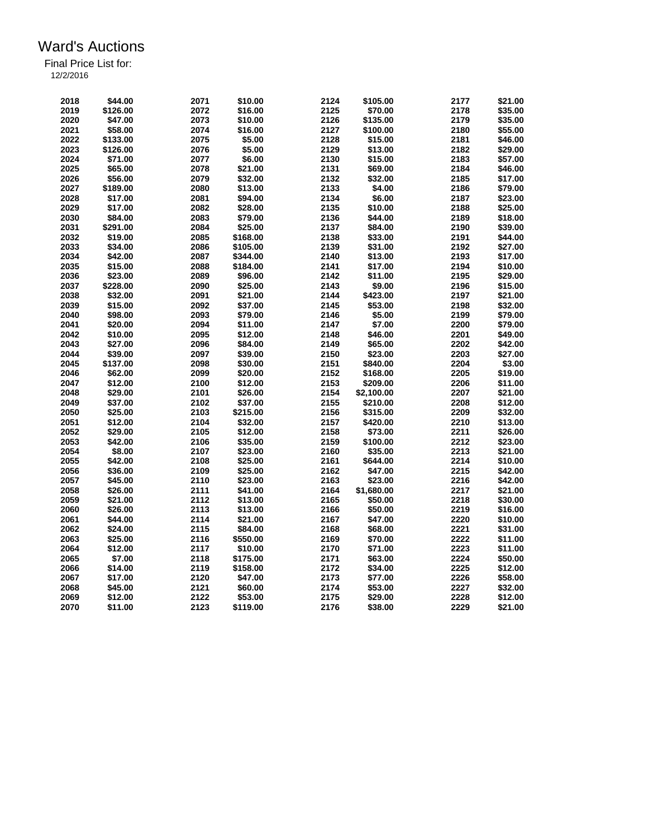| 2018 | \$44.00             | 2071         | \$10.00  | 2124 | \$105.00           | 2177 | \$21.00            |
|------|---------------------|--------------|----------|------|--------------------|------|--------------------|
| 2019 | \$126.00            | 2072         | \$16.00  | 2125 | \$70.00            | 2178 | \$35.00            |
| 2020 | \$47.00             | 2073         | \$10.00  | 2126 | \$135.00           | 2179 | \$35.00            |
| 2021 | \$58.00             | 2074         | \$16.00  | 2127 | \$100.00           | 2180 | \$55.00            |
| 2022 | \$133.00            | 2075         | \$5.00   | 2128 | \$15.00            | 2181 | \$46.00            |
| 2023 | \$126.00            | 2076         | \$5.00   | 2129 | \$13.00            | 2182 | \$29.00            |
| 2024 | \$71.00             | 2077         | \$6.00   | 2130 | \$15.00            | 2183 | \$57.00            |
| 2025 | \$65.00             | 2078         | \$21.00  | 2131 | \$69.00            | 2184 | \$46.00            |
| 2026 | \$56.00             | 2079         | \$32.00  | 2132 | \$32.00            | 2185 | \$17.00            |
| 2027 | \$189.00            | 2080         | \$13.00  | 2133 | \$4.00             | 2186 | \$79.00            |
| 2028 | \$17.00             | 2081         | \$94.00  | 2134 | \$6.00             | 2187 | \$23.00            |
| 2029 | \$17.00             | 2082         | \$28.00  | 2135 | \$10.00            | 2188 | \$25.00            |
| 2030 | \$84.00             |              |          | 2136 | \$44.00            | 2189 | \$18.00            |
| 2031 |                     | 2083<br>2084 | \$79.00  | 2137 |                    | 2190 |                    |
| 2032 | \$291.00<br>\$19.00 | 2085         | \$25.00  | 2138 | \$84.00<br>\$33.00 | 2191 | \$39.00<br>\$44.00 |
|      |                     |              | \$168.00 |      |                    |      |                    |
| 2033 | \$34.00             | 2086         | \$105.00 | 2139 | \$31.00            | 2192 | \$27.00            |
| 2034 | \$42.00             | 2087         | \$344.00 | 2140 | \$13.00            | 2193 | \$17.00            |
| 2035 | \$15.00             | 2088         | \$184.00 | 2141 | \$17.00            | 2194 | \$10.00            |
| 2036 | \$23.00             | 2089         | \$96.00  | 2142 | \$11.00            | 2195 | \$29.00            |
| 2037 | \$228.00            | 2090         | \$25.00  | 2143 | \$9.00             | 2196 | \$15.00            |
| 2038 | \$32.00             | 2091         | \$21.00  | 2144 | \$423.00           | 2197 | \$21.00            |
| 2039 | \$15.00             | 2092         | \$37.00  | 2145 | \$53.00            | 2198 | \$32.00            |
| 2040 | \$98.00             | 2093         | \$79.00  | 2146 | \$5.00             | 2199 | \$79.00            |
| 2041 | \$20.00             | 2094         | \$11.00  | 2147 | \$7.00             | 2200 | \$79.00            |
| 2042 | \$10.00             | 2095         | \$12.00  | 2148 | \$46.00            | 2201 | \$49.00            |
| 2043 | \$27.00             | 2096         | \$84.00  | 2149 | \$65.00            | 2202 | \$42.00            |
| 2044 | \$39.00             | 2097         | \$39.00  | 2150 | \$23.00            | 2203 | \$27.00            |
| 2045 | \$137.00            | 2098         | \$30.00  | 2151 | \$840.00           | 2204 | \$3.00             |
| 2046 | \$62.00             | 2099         | \$20.00  | 2152 | \$168.00           | 2205 | \$19.00            |
| 2047 | \$12.00             | 2100         | \$12.00  | 2153 | \$209.00           | 2206 | \$11.00            |
| 2048 | \$29.00             | 2101         | \$26.00  | 2154 | \$2,100.00         | 2207 | \$21.00            |
| 2049 | \$37.00             | 2102         | \$37.00  | 2155 | \$210.00           | 2208 | \$12.00            |
| 2050 | \$25.00             | 2103         | \$215.00 | 2156 | \$315.00           | 2209 | \$32.00            |
| 2051 | \$12.00             | 2104         | \$32.00  | 2157 | \$420.00           | 2210 | \$13.00            |
| 2052 | \$29.00             | 2105         | \$12.00  | 2158 | \$73.00            | 2211 | \$26.00            |
| 2053 |                     |              |          | 2159 |                    | 2212 |                    |
| 2054 | \$42.00<br>\$8.00   | 2106<br>2107 | \$35.00  | 2160 | \$100.00           | 2213 | \$23.00<br>\$21.00 |
|      |                     |              | \$23.00  |      | \$35.00            |      |                    |
| 2055 | \$42.00             | 2108         | \$25.00  | 2161 | \$644.00           | 2214 | \$10.00            |
| 2056 | \$36.00             | 2109         | \$25.00  | 2162 | \$47.00            | 2215 | \$42.00            |
| 2057 | \$45.00             | 2110         | \$23.00  | 2163 | \$23.00            | 2216 | \$42.00            |
| 2058 | \$26.00             | 2111         | \$41.00  | 2164 | \$1,680.00         | 2217 | \$21.00            |
| 2059 | \$21.00             | 2112         | \$13.00  | 2165 | \$50.00            | 2218 | \$30.00            |
| 2060 | \$26.00             | 2113         | \$13.00  | 2166 | \$50.00            | 2219 | \$16.00            |
| 2061 | \$44.00             | 2114         | \$21.00  | 2167 | \$47.00            | 2220 | \$10.00            |
| 2062 | \$24.00             | 2115         | \$84.00  | 2168 | \$68.00            | 2221 | \$31.00            |
| 2063 | \$25.00             | 2116         | \$550.00 | 2169 | \$70.00            | 2222 | \$11.00            |
| 2064 | \$12.00             | 2117         | \$10.00  | 2170 | \$71.00            | 2223 | \$11.00            |
| 2065 | \$7.00              | 2118         | \$175.00 | 2171 | \$63.00            | 2224 | \$50.00            |
| 2066 | \$14.00             | 2119         | \$158.00 | 2172 | \$34.00            | 2225 | \$12.00            |
| 2067 | \$17.00             | 2120         | \$47.00  | 2173 | \$77.00            | 2226 | \$58.00            |
| 2068 | \$45.00             | 2121         | \$60.00  | 2174 | \$53.00            | 2227 | \$32.00            |
| 2069 | \$12.00             | 2122         | \$53.00  | 2175 | \$29.00            | 2228 | \$12.00            |
| 2070 | \$11.00             | 2123         | \$119.00 | 2176 | \$38.00            | 2229 | \$21.00            |
|      |                     |              |          |      |                    |      |                    |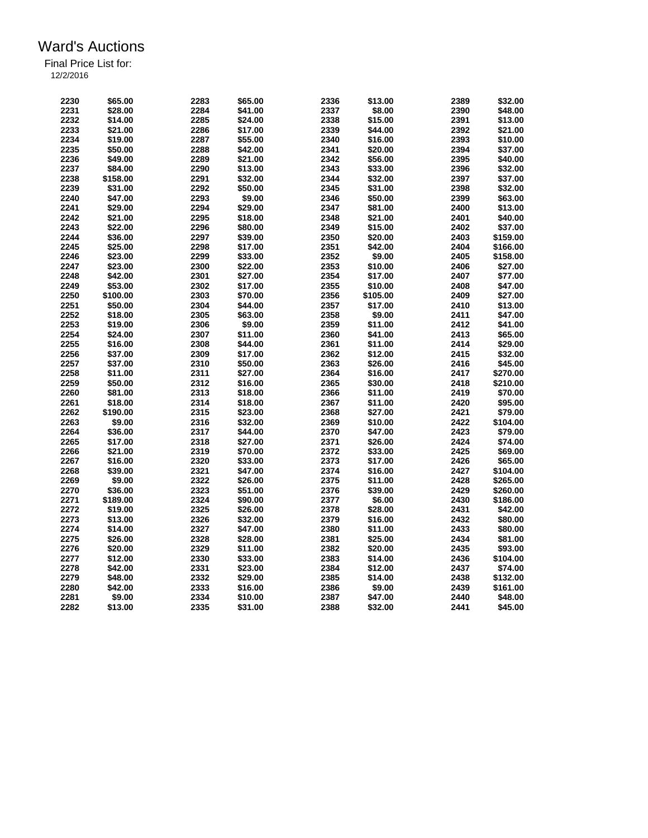| 2230 | \$65.00  | 2283 | \$65.00 | 2336 | \$13.00  | 2389 | \$32.00  |
|------|----------|------|---------|------|----------|------|----------|
| 2231 | \$28.00  | 2284 | \$41.00 | 2337 | \$8.00   | 2390 | \$48.00  |
|      |          |      |         |      |          |      |          |
| 2232 | \$14.00  | 2285 | \$24.00 | 2338 | \$15.00  | 2391 | \$13.00  |
| 2233 | \$21.00  | 2286 | \$17.00 | 2339 | \$44.00  | 2392 | \$21.00  |
| 2234 | \$19.00  | 2287 | \$55.00 | 2340 | \$16.00  | 2393 | \$10.00  |
| 2235 | \$50.00  | 2288 | \$42.00 | 2341 | \$20.00  | 2394 | \$37.00  |
| 2236 | \$49.00  | 2289 | \$21.00 | 2342 | \$56.00  | 2395 | \$40.00  |
| 2237 | \$84.00  | 2290 | \$13.00 | 2343 | \$33.00  | 2396 | \$32.00  |
| 2238 | \$158.00 | 2291 | \$32.00 | 2344 | \$32.00  | 2397 | \$37.00  |
| 2239 | \$31.00  | 2292 | \$50.00 | 2345 | \$31.00  | 2398 | \$32.00  |
| 2240 | \$47.00  | 2293 | \$9.00  | 2346 | \$50.00  | 2399 | \$63.00  |
| 2241 | \$29.00  | 2294 | \$29.00 | 2347 | \$81.00  | 2400 | \$13.00  |
| 2242 | \$21.00  | 2295 | \$18.00 | 2348 | \$21.00  | 2401 | \$40.00  |
| 2243 | \$22.00  | 2296 | \$80.00 | 2349 | \$15.00  | 2402 | \$37.00  |
| 2244 | \$36.00  | 2297 | \$39.00 | 2350 | \$20.00  | 2403 | \$159.00 |
|      |          |      |         |      |          |      |          |
| 2245 | \$25.00  | 2298 | \$17.00 | 2351 | \$42.00  | 2404 | \$166.00 |
| 2246 | \$23.00  | 2299 | \$33.00 | 2352 | \$9.00   | 2405 | \$158.00 |
| 2247 | \$23.00  | 2300 | \$22.00 | 2353 | \$10.00  | 2406 | \$27.00  |
| 2248 | \$42.00  | 2301 | \$27.00 | 2354 | \$17.00  | 2407 | \$77.00  |
| 2249 | \$53.00  | 2302 | \$17.00 | 2355 | \$10.00  | 2408 | \$47.00  |
| 2250 | \$100.00 | 2303 | \$70.00 | 2356 | \$105.00 | 2409 | \$27.00  |
| 2251 | \$50.00  | 2304 | \$44.00 | 2357 | \$17.00  | 2410 | \$13.00  |
| 2252 | \$18.00  | 2305 | \$63.00 | 2358 | \$9.00   | 2411 | \$47.00  |
| 2253 | \$19.00  | 2306 | \$9.00  | 2359 | \$11.00  | 2412 | \$41.00  |
| 2254 | \$24.00  | 2307 | \$11.00 | 2360 | \$41.00  | 2413 | \$65.00  |
| 2255 | \$16.00  | 2308 | \$44.00 | 2361 | \$11.00  | 2414 | \$29.00  |
| 2256 | \$37.00  | 2309 | \$17.00 | 2362 | \$12.00  | 2415 | \$32.00  |
| 2257 | \$37.00  | 2310 | \$50.00 | 2363 | \$26.00  | 2416 | \$45.00  |
| 2258 | \$11.00  | 2311 | \$27.00 | 2364 | \$16.00  | 2417 | \$270.00 |
| 2259 | \$50.00  | 2312 | \$16.00 | 2365 | \$30.00  | 2418 | \$210.00 |
| 2260 | \$81.00  | 2313 | \$18.00 | 2366 | \$11.00  | 2419 | \$70.00  |
| 2261 | \$18.00  | 2314 | \$18.00 | 2367 | \$11.00  | 2420 | \$95.00  |
| 2262 |          | 2315 |         | 2368 | \$27.00  | 2421 | \$79.00  |
|      | \$190.00 |      | \$23.00 |      |          |      |          |
| 2263 | \$9.00   | 2316 | \$32.00 | 2369 | \$10.00  | 2422 | \$104.00 |
| 2264 | \$36.00  | 2317 | \$44.00 | 2370 | \$47.00  | 2423 | \$79.00  |
| 2265 | \$17.00  | 2318 | \$27.00 | 2371 | \$26.00  | 2424 | \$74.00  |
| 2266 | \$21.00  | 2319 | \$70.00 | 2372 | \$33.00  | 2425 | \$69.00  |
| 2267 | \$16.00  | 2320 | \$33.00 | 2373 | \$17.00  | 2426 | \$65.00  |
| 2268 | \$39.00  | 2321 | \$47.00 | 2374 | \$16.00  | 2427 | \$104.00 |
| 2269 | \$9.00   | 2322 | \$26.00 | 2375 | \$11.00  | 2428 | \$265.00 |
| 2270 | \$36.00  | 2323 | \$51.00 | 2376 | \$39.00  | 2429 | \$260.00 |
| 2271 | \$189.00 | 2324 | \$90.00 | 2377 | \$6.00   | 2430 | \$186.00 |
| 2272 | \$19.00  | 2325 | \$26.00 | 2378 | \$28.00  | 2431 | \$42.00  |
| 2273 | \$13.00  | 2326 | \$32.00 | 2379 | \$16.00  | 2432 | \$80.00  |
| 2274 | \$14.00  | 2327 | \$47.00 | 2380 | \$11.00  | 2433 | \$80.00  |
| 2275 | \$26.00  | 2328 | \$28.00 | 2381 | \$25.00  | 2434 | \$81.00  |
| 2276 | \$20.00  | 2329 | \$11.00 | 2382 | \$20.00  | 2435 | \$93.00  |
| 2277 | \$12.00  | 2330 | \$33.00 | 2383 | \$14.00  | 2436 | \$104.00 |
| 2278 | \$42.00  | 2331 | \$23.00 | 2384 | \$12.00  | 2437 | \$74.00  |
| 2279 | \$48.00  | 2332 | \$29.00 | 2385 | \$14.00  | 2438 | \$132.00 |
| 2280 | \$42.00  | 2333 |         | 2386 |          |      |          |
|      |          |      | \$16.00 |      | \$9.00   | 2439 | \$161.00 |
| 2281 | \$9.00   | 2334 | \$10.00 | 2387 | \$47.00  | 2440 | \$48.00  |
| 2282 | \$13.00  | 2335 | \$31.00 | 2388 | \$32.00  | 2441 | \$45.00  |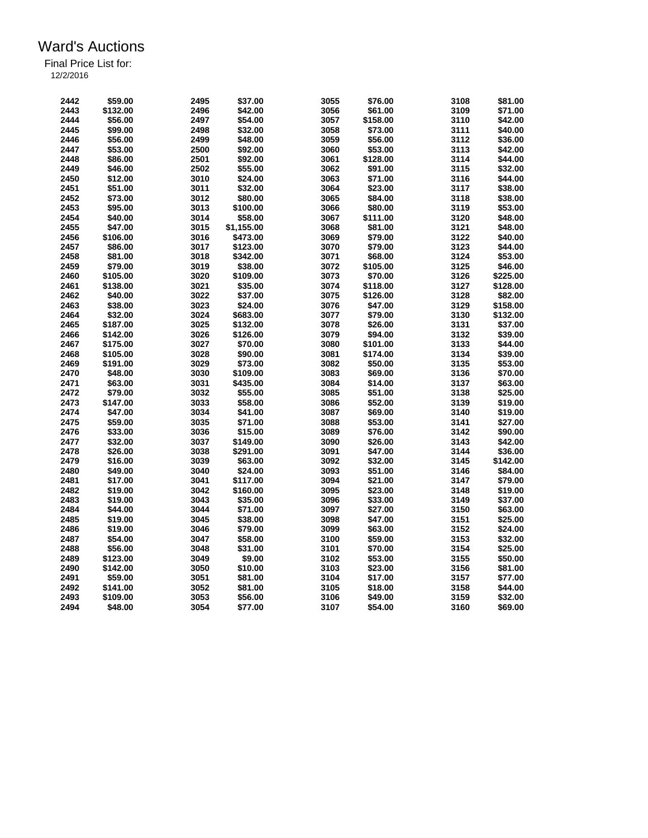| 2442 | \$59.00  | 2495 | \$37.00    | 3055 | \$76.00  | 3108 | \$81.00  |
|------|----------|------|------------|------|----------|------|----------|
| 2443 | \$132.00 | 2496 | \$42.00    | 3056 | \$61.00  | 3109 | \$71.00  |
| 2444 | \$56.00  | 2497 | \$54.00    | 3057 | \$158.00 | 3110 | \$42.00  |
| 2445 | \$99.00  | 2498 | \$32.00    | 3058 | \$73.00  | 3111 | \$40.00  |
| 2446 | \$56.00  | 2499 | \$48.00    | 3059 | \$56.00  | 3112 | \$36.00  |
|      |          |      |            |      |          |      |          |
| 2447 | \$53.00  | 2500 | \$92.00    | 3060 | \$53.00  | 3113 | \$42.00  |
| 2448 | \$86.00  | 2501 | \$92.00    | 3061 | \$128.00 | 3114 | \$44.00  |
| 2449 | \$46.00  | 2502 | \$55.00    | 3062 | \$91.00  | 3115 | \$32.00  |
| 2450 | \$12.00  | 3010 | \$24.00    | 3063 | \$71.00  | 3116 | \$44.00  |
| 2451 | \$51.00  | 3011 | \$32.00    | 3064 | \$23.00  | 3117 | \$38.00  |
| 2452 | \$73.00  | 3012 | \$80.00    | 3065 | \$84.00  | 3118 | \$38.00  |
| 2453 | \$95.00  | 3013 | \$100.00   | 3066 | \$80.00  | 3119 | \$53.00  |
| 2454 | \$40.00  | 3014 | \$58.00    | 3067 | \$111.00 | 3120 | \$48.00  |
| 2455 | \$47.00  | 3015 | \$1,155.00 | 3068 | \$81.00  | 3121 | \$48.00  |
| 2456 | \$106.00 | 3016 | \$473.00   | 3069 | \$79.00  | 3122 | \$40.00  |
| 2457 | \$86.00  | 3017 | \$123.00   | 3070 | \$79.00  | 3123 | \$44.00  |
| 2458 | \$81.00  | 3018 | \$342.00   | 3071 | \$68.00  | 3124 | \$53.00  |
| 2459 | \$79.00  | 3019 | \$38.00    | 3072 | \$105.00 | 3125 | \$46.00  |
| 2460 | \$105.00 | 3020 | \$109.00   | 3073 | \$70.00  | 3126 | \$225.00 |
| 2461 | \$138.00 | 3021 | \$35.00    | 3074 | \$118.00 | 3127 | \$128.00 |
| 2462 | \$40.00  | 3022 | \$37.00    | 3075 | \$126.00 | 3128 | \$82.00  |
| 2463 | \$38.00  | 3023 | \$24.00    | 3076 | \$47.00  | 3129 | \$158.00 |
| 2464 | \$32.00  | 3024 | \$683.00   | 3077 | \$79.00  | 3130 | \$132.00 |
| 2465 | \$187.00 | 3025 | \$132.00   | 3078 | \$26.00  | 3131 | \$37.00  |
| 2466 | \$142.00 | 3026 | \$126.00   | 3079 | \$94.00  | 3132 | \$39.00  |
| 2467 | \$175.00 | 3027 | \$70.00    | 3080 | \$101.00 | 3133 | \$44.00  |
| 2468 | \$105.00 | 3028 | \$90.00    | 3081 | \$174.00 | 3134 | \$39.00  |
| 2469 |          | 3029 | \$73.00    | 3082 | \$50.00  | 3135 | \$53.00  |
|      | \$191.00 |      |            |      |          |      |          |
| 2470 | \$48.00  | 3030 | \$109.00   | 3083 | \$69.00  | 3136 | \$70.00  |
| 2471 | \$63.00  | 3031 | \$435.00   | 3084 | \$14.00  | 3137 | \$63.00  |
| 2472 | \$79.00  | 3032 | \$55.00    | 3085 | \$51.00  | 3138 | \$25.00  |
| 2473 | \$147.00 | 3033 | \$58.00    | 3086 | \$52.00  | 3139 | \$19.00  |
| 2474 | \$47.00  | 3034 | \$41.00    | 3087 | \$69.00  | 3140 | \$19.00  |
| 2475 | \$59.00  | 3035 | \$71.00    | 3088 | \$53.00  | 3141 | \$27.00  |
| 2476 | \$33.00  | 3036 | \$15.00    | 3089 | \$76.00  | 3142 | \$90.00  |
| 2477 | \$32.00  | 3037 | \$149.00   | 3090 | \$26.00  | 3143 | \$42.00  |
| 2478 | \$26.00  | 3038 | \$291.00   | 3091 | \$47.00  | 3144 | \$36.00  |
| 2479 | \$16.00  | 3039 | \$63.00    | 3092 | \$32.00  | 3145 | \$142.00 |
| 2480 | \$49.00  | 3040 | \$24.00    | 3093 | \$51.00  | 3146 | \$84.00  |
| 2481 | \$17.00  | 3041 | \$117.00   | 3094 | \$21.00  | 3147 | \$79.00  |
| 2482 | \$19.00  | 3042 | \$160.00   | 3095 | \$23.00  | 3148 | \$19.00  |
| 2483 | \$19.00  | 3043 | \$35.00    | 3096 | \$33.00  | 3149 | \$37.00  |
| 2484 | \$44.00  | 3044 | \$71.00    | 3097 | \$27.00  | 3150 | \$63.00  |
| 2485 | \$19.00  | 3045 | \$38.00    | 3098 | \$47.00  | 3151 | \$25.00  |
| 2486 | \$19.00  | 3046 | \$79.00    | 3099 | \$63.00  | 3152 | \$24.00  |
| 2487 | \$54.00  | 3047 | \$58.00    | 3100 | \$59.00  | 3153 | \$32.00  |
| 2488 | \$56.00  | 3048 | \$31.00    | 3101 | \$70.00  | 3154 | \$25.00  |
| 2489 | \$123.00 | 3049 | \$9.00     | 3102 | \$53.00  | 3155 | \$50.00  |
| 2490 | \$142.00 | 3050 | \$10.00    | 3103 | \$23.00  | 3156 | \$81.00  |
| 2491 | \$59.00  | 3051 | \$81.00    | 3104 | \$17.00  | 3157 | \$77.00  |
| 2492 | \$141.00 | 3052 | \$81.00    | 3105 | \$18.00  | 3158 | \$44.00  |
| 2493 | \$109.00 | 3053 | \$56.00    | 3106 | \$49.00  | 3159 | \$32.00  |
| 2494 | \$48.00  | 3054 | \$77.00    | 3107 | \$54.00  | 3160 | \$69.00  |
|      |          |      |            |      |          |      |          |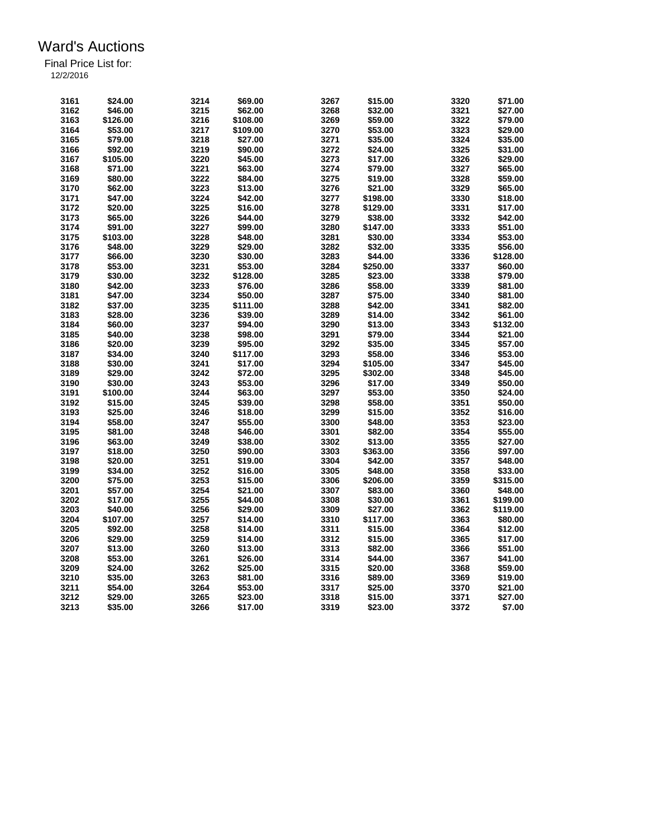| 3161 | \$24.00  | 3214         | \$69.00  | 3267 | \$15.00  | 3320         | \$71.00  |
|------|----------|--------------|----------|------|----------|--------------|----------|
| 3162 | \$46.00  | 3215         | \$62.00  | 3268 | \$32.00  | 3321         | \$27.00  |
| 3163 | \$126.00 | 3216         | \$108.00 | 3269 | \$59.00  | 3322         | \$79.00  |
| 3164 | \$53.00  | 3217         | \$109.00 | 3270 | \$53.00  | 3323         | \$29.00  |
| 3165 | \$79.00  | 3218         | \$27.00  | 3271 | \$35.00  | 3324         | \$35.00  |
|      |          |              |          |      |          |              |          |
| 3166 | \$92.00  | 3219         | \$90.00  | 3272 | \$24.00  | 3325         | \$31.00  |
| 3167 | \$105.00 | 3220         | \$45.00  | 3273 | \$17.00  | 3326         | \$29.00  |
| 3168 | \$71.00  | 3221         | \$63.00  | 3274 | \$79.00  | 3327         | \$65.00  |
| 3169 | \$80.00  | 3222         | \$84.00  | 3275 | \$19.00  | 3328         | \$59.00  |
| 3170 | \$62.00  | 3223         | \$13.00  | 3276 | \$21.00  | 3329         | \$65.00  |
| 3171 | \$47.00  | 3224         | \$42.00  | 3277 | \$198.00 | 3330         | \$18.00  |
| 3172 | \$20.00  | 3225         | \$16.00  | 3278 | \$129.00 | 3331         | \$17.00  |
| 3173 | \$65.00  | 3226         | \$44.00  | 3279 | \$38.00  | 3332         | \$42.00  |
| 3174 | \$91.00  | 3227         | \$99.00  | 3280 | \$147.00 | 3333         | \$51.00  |
| 3175 | \$103.00 | 3228         | \$48.00  | 3281 | \$30.00  | 3334         | \$53.00  |
| 3176 | \$48.00  | 3229         | \$29.00  | 3282 | \$32.00  | 3335         | \$56.00  |
| 3177 | \$66.00  | 3230         | \$30.00  | 3283 | \$44.00  | 3336         | \$128.00 |
| 3178 | \$53.00  | 3231         | \$53.00  | 3284 | \$250.00 | 3337         | \$60.00  |
| 3179 | \$30.00  | 3232         | \$128.00 | 3285 | \$23.00  | 3338         | \$79.00  |
| 3180 | \$42.00  | 3233         | \$76.00  | 3286 | \$58.00  | 3339         | \$81.00  |
| 3181 | \$47.00  | 3234         | \$50.00  | 3287 | \$75.00  | 3340         | \$81.00  |
| 3182 | \$37.00  | 3235         | \$111.00 | 3288 | \$42.00  | 3341         | \$82.00  |
| 3183 | \$28.00  | 3236         | \$39.00  | 3289 | \$14.00  | 3342         | \$61.00  |
| 3184 | \$60.00  | 3237         | \$94.00  | 3290 | \$13.00  | 3343         | \$132.00 |
| 3185 | \$40.00  |              | \$98.00  | 3291 | \$79.00  | 3344         | \$21.00  |
| 3186 | \$20.00  | 3238<br>3239 |          | 3292 |          | 3345         |          |
|      |          |              | \$95.00  |      | \$35.00  |              | \$57.00  |
| 3187 | \$34.00  | 3240         | \$117.00 | 3293 | \$58.00  | 3346         | \$53.00  |
| 3188 | \$30.00  | 3241         | \$17.00  | 3294 | \$105.00 | 3347         | \$45.00  |
| 3189 | \$29.00  | 3242         | \$72.00  | 3295 | \$302.00 | 3348         | \$45.00  |
| 3190 | \$30.00  | 3243         | \$53.00  | 3296 | \$17.00  | 3349         | \$50.00  |
| 3191 | \$100.00 | 3244         | \$63.00  | 3297 | \$53.00  | 3350         | \$24.00  |
| 3192 | \$15.00  | 3245         | \$39.00  | 3298 | \$58.00  | 3351         | \$50.00  |
| 3193 | \$25.00  | 3246         | \$18.00  | 3299 | \$15.00  | 3352         | \$16.00  |
| 3194 | \$58.00  | 3247         | \$55.00  | 3300 | \$48.00  | 3353         | \$23.00  |
| 3195 | \$81.00  | 3248         | \$46.00  | 3301 | \$82.00  | 3354         | \$55.00  |
| 3196 | \$63.00  | 3249         | \$38.00  | 3302 | \$13.00  | 3355         | \$27.00  |
| 3197 | \$18.00  | 3250         | \$90.00  | 3303 | \$363.00 | 3356         | \$97.00  |
| 3198 | \$20.00  | 3251         | \$19.00  | 3304 | \$42.00  | 3357         | \$48.00  |
| 3199 | \$34.00  | 3252         | \$16.00  | 3305 | \$48.00  | 3358         | \$33.00  |
| 3200 | \$75.00  | 3253         | \$15.00  | 3306 | \$206.00 | 3359         | \$315.00 |
| 3201 | \$57.00  | 3254         | \$21.00  | 3307 | \$83.00  | 3360         | \$48.00  |
| 3202 | \$17.00  | 3255         | \$44.00  | 3308 | \$30.00  | 3361         | \$199.00 |
| 3203 | \$40.00  | 3256         | \$29.00  | 3309 | \$27.00  | 3362         | \$119.00 |
| 3204 | \$107.00 | 3257         | \$14.00  | 3310 | \$117.00 | 3363         | \$80.00  |
| 3205 | \$92.00  | 3258         | \$14.00  | 3311 | \$15.00  | 3364         | \$12.00  |
| 3206 | \$29.00  | 3259         | \$14.00  | 3312 | \$15.00  | 3365         | \$17.00  |
| 3207 | \$13.00  | 3260         | \$13.00  | 3313 | \$82.00  | 3366         | \$51.00  |
| 3208 | \$53.00  | 3261         | \$26.00  | 3314 | \$44.00  | 3367         | \$41.00  |
|      |          |              |          | 3315 |          |              |          |
| 3209 | \$24.00  | 3262         | \$25.00  | 3316 | \$20.00  | 3368<br>3369 | \$59.00  |
| 3210 | \$35.00  | 3263         | \$81.00  |      | \$89.00  |              | \$19.00  |
| 3211 | \$54.00  | 3264         | \$53.00  | 3317 | \$25.00  | 3370         | \$21.00  |
| 3212 | \$29.00  | 3265         | \$23.00  | 3318 | \$15.00  | 3371         | \$27.00  |
| 3213 | \$35.00  | 3266         | \$17.00  | 3319 | \$23.00  | 3372         | \$7.00   |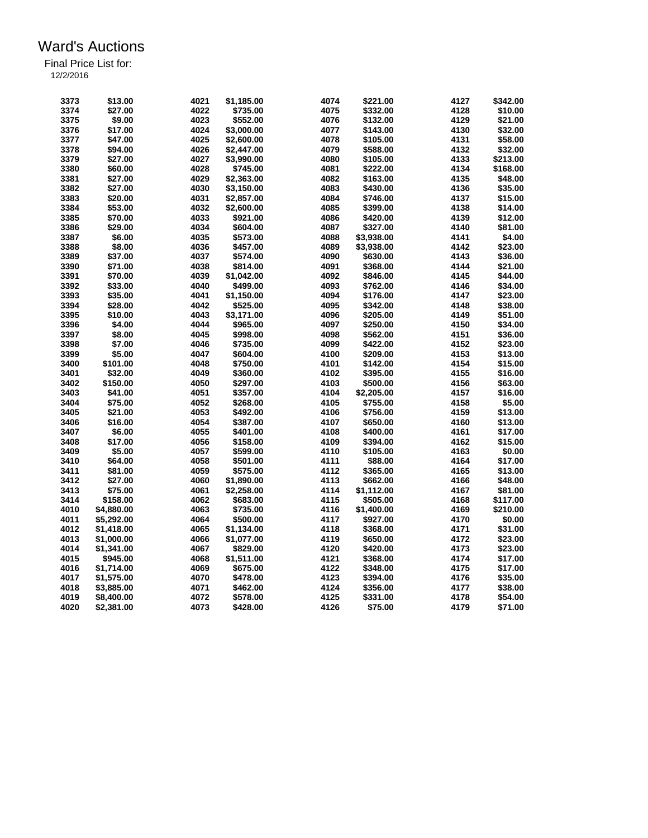| 3373 | \$13.00    | 4021 | \$1,185.00 | 4074 | \$221.00   | 4127 | \$342.00 |
|------|------------|------|------------|------|------------|------|----------|
| 3374 | \$27.00    | 4022 | \$735.00   | 4075 | \$332.00   | 4128 | \$10.00  |
| 3375 | \$9.00     | 4023 | \$552.00   | 4076 | \$132.00   | 4129 | \$21.00  |
| 3376 | \$17.00    | 4024 | \$3,000.00 | 4077 | \$143.00   | 4130 | \$32.00  |
| 3377 | \$47.00    | 4025 | \$2,600.00 | 4078 | \$105.00   | 4131 | \$58.00  |
| 3378 | \$94.00    | 4026 | \$2,447.00 | 4079 | \$588.00   | 4132 | \$32.00  |
| 3379 | \$27.00    | 4027 | \$3,990.00 | 4080 | \$105.00   | 4133 | \$213.00 |
| 3380 | \$60.00    | 4028 | \$745.00   | 4081 | \$222.00   | 4134 | \$168.00 |
| 3381 | \$27.00    | 4029 | \$2,363.00 | 4082 | \$163.00   | 4135 | \$48.00  |
| 3382 | \$27.00    | 4030 |            | 4083 |            | 4136 | \$35.00  |
| 3383 | \$20.00    | 4031 | \$3,150.00 | 4084 | \$430.00   | 4137 |          |
|      |            |      | \$2,857.00 |      | \$746.00   |      | \$15.00  |
| 3384 | \$53.00    | 4032 | \$2,600.00 | 4085 | \$399.00   | 4138 | \$14.00  |
| 3385 | \$70.00    | 4033 | \$921.00   | 4086 | \$420.00   | 4139 | \$12.00  |
| 3386 | \$29.00    | 4034 | \$604.00   | 4087 | \$327.00   | 4140 | \$81.00  |
| 3387 | \$6.00     | 4035 | \$573.00   | 4088 | \$3,938.00 | 4141 | \$4.00   |
| 3388 | \$8.00     | 4036 | \$457.00   | 4089 | \$3,938.00 | 4142 | \$23.00  |
| 3389 | \$37.00    | 4037 | \$574.00   | 4090 | \$630.00   | 4143 | \$36.00  |
| 3390 | \$71.00    | 4038 | \$814.00   | 4091 | \$368.00   | 4144 | \$21.00  |
| 3391 | \$70.00    | 4039 | \$1,042.00 | 4092 | \$846.00   | 4145 | \$44.00  |
| 3392 | \$33.00    | 4040 | \$499.00   | 4093 | \$762.00   | 4146 | \$34.00  |
| 3393 | \$35.00    | 4041 | \$1,150.00 | 4094 | \$176.00   | 4147 | \$23.00  |
| 3394 | \$28.00    | 4042 | \$525.00   | 4095 | \$342.00   | 4148 | \$38.00  |
| 3395 | \$10.00    | 4043 | \$3,171.00 | 4096 | \$205.00   | 4149 | \$51.00  |
| 3396 | \$4.00     | 4044 | \$965.00   | 4097 | \$250.00   | 4150 | \$34.00  |
| 3397 | \$8.00     | 4045 | \$998.00   | 4098 | \$562.00   | 4151 | \$36.00  |
| 3398 | \$7.00     | 4046 | \$735.00   | 4099 | \$422.00   | 4152 | \$23.00  |
| 3399 | \$5.00     | 4047 | \$604.00   | 4100 | \$209.00   | 4153 | \$13.00  |
| 3400 | \$101.00   | 4048 | \$750.00   | 4101 | \$142.00   | 4154 | \$15.00  |
| 3401 | \$32.00    | 4049 | \$360.00   | 4102 | \$395.00   | 4155 | \$16.00  |
| 3402 | \$150.00   | 4050 | \$297.00   | 4103 | \$500.00   | 4156 | \$63.00  |
| 3403 | \$41.00    | 4051 | \$357.00   | 4104 | \$2,205.00 | 4157 | \$16.00  |
| 3404 | \$75.00    | 4052 | \$268.00   | 4105 | \$755.00   | 4158 | \$5.00   |
| 3405 | \$21.00    | 4053 | \$492.00   | 4106 |            | 4159 | \$13.00  |
|      |            |      |            |      | \$756.00   |      |          |
| 3406 | \$16.00    | 4054 | \$387.00   | 4107 | \$650.00   | 4160 | \$13.00  |
| 3407 | \$6.00     | 4055 | \$401.00   | 4108 | \$400.00   | 4161 | \$17.00  |
| 3408 | \$17.00    | 4056 | \$158.00   | 4109 | \$394.00   | 4162 | \$15.00  |
| 3409 | \$5.00     | 4057 | \$599.00   | 4110 | \$105.00   | 4163 | \$0.00   |
| 3410 | \$64.00    | 4058 | \$501.00   | 4111 | \$88.00    | 4164 | \$17.00  |
| 3411 | \$81.00    | 4059 | \$575.00   | 4112 | \$365.00   | 4165 | \$13.00  |
| 3412 | \$27.00    | 4060 | \$1,890.00 | 4113 | \$662.00   | 4166 | \$48.00  |
| 3413 | \$75.00    | 4061 | \$2,258.00 | 4114 | \$1,112.00 | 4167 | \$81.00  |
| 3414 | \$158.00   | 4062 | \$683.00   | 4115 | \$505.00   | 4168 | \$117.00 |
| 4010 | \$4,880.00 | 4063 | \$735.00   | 4116 | \$1,400.00 | 4169 | \$210.00 |
| 4011 | \$5,292.00 | 4064 | \$500.00   | 4117 | \$927.00   | 4170 | \$0.00   |
| 4012 | \$1.418.00 | 4065 | \$1,134.00 | 4118 | \$368.00   | 4171 | \$31.00  |
| 4013 | \$1,000.00 | 4066 | \$1,077.00 | 4119 | \$650.00   | 4172 | \$23.00  |
| 4014 | \$1,341.00 | 4067 | \$829.00   | 4120 | \$420.00   | 4173 | \$23.00  |
| 4015 | \$945.00   | 4068 | \$1,511.00 | 4121 | \$368.00   | 4174 | \$17.00  |
| 4016 | \$1,714.00 | 4069 | \$675.00   | 4122 | \$348.00   | 4175 | \$17.00  |
| 4017 | \$1,575.00 | 4070 | \$478.00   | 4123 | \$394.00   | 4176 | \$35.00  |
| 4018 | \$3,885.00 | 4071 | \$462.00   | 4124 | \$356.00   | 4177 | \$38.00  |
| 4019 | \$8,400.00 | 4072 | \$578.00   | 4125 | \$331.00   | 4178 | \$54.00  |
| 4020 | \$2,381.00 | 4073 | \$428.00   | 4126 | \$75.00    | 4179 | \$71.00  |
|      |            |      |            |      |            |      |          |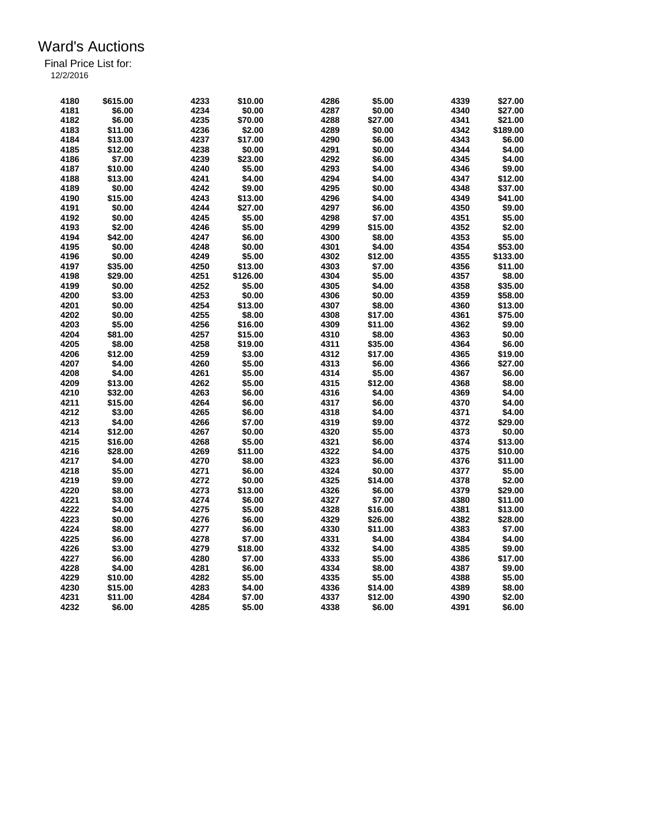| 4180 | \$615.00 | 4233 | \$10.00  | 4286 | \$5.00  | 4339 | \$27.00  |
|------|----------|------|----------|------|---------|------|----------|
| 4181 | \$6.00   | 4234 | \$0.00   | 4287 | \$0.00  | 4340 | \$27.00  |
| 4182 | \$6.00   | 4235 | \$70.00  | 4288 | \$27.00 | 4341 | \$21.00  |
| 4183 | \$11.00  | 4236 | \$2.00   | 4289 | \$0.00  | 4342 | \$189.00 |
| 4184 | \$13.00  | 4237 | \$17.00  | 4290 | \$6.00  | 4343 | \$6.00   |
| 4185 | \$12.00  | 4238 | \$0.00   | 4291 | \$0.00  | 4344 | \$4.00   |
| 4186 | \$7.00   | 4239 | \$23.00  | 4292 | \$6.00  | 4345 | \$4.00   |
| 4187 | \$10.00  | 4240 | \$5.00   | 4293 | \$4.00  | 4346 | \$9.00   |
| 4188 | \$13.00  | 4241 | \$4.00   | 4294 | \$4.00  | 4347 | \$12.00  |
| 4189 | \$0.00   | 4242 | \$9.00   | 4295 | \$0.00  | 4348 | \$37.00  |
| 4190 | \$15.00  | 4243 | \$13.00  | 4296 | \$4.00  | 4349 | \$41.00  |
| 4191 | \$0.00   | 4244 | \$27.00  | 4297 | \$6.00  | 4350 | \$9.00   |
| 4192 | \$0.00   | 4245 | \$5.00   | 4298 | \$7.00  | 4351 | \$5.00   |
| 4193 | \$2.00   | 4246 | \$5.00   | 4299 | \$15.00 | 4352 | \$2.00   |
| 4194 | \$42.00  | 4247 | \$6.00   | 4300 | \$8.00  | 4353 | \$5.00   |
| 4195 | \$0.00   | 4248 | \$0.00   | 4301 | \$4.00  | 4354 | \$53.00  |
| 4196 | \$0.00   | 4249 | \$5.00   | 4302 | \$12.00 | 4355 | \$133.00 |
| 4197 | \$35.00  | 4250 | \$13.00  | 4303 | \$7.00  | 4356 | \$11.00  |
| 4198 | \$29.00  | 4251 | \$126.00 | 4304 | \$5.00  | 4357 | \$8.00   |
| 4199 | \$0.00   | 4252 | \$5.00   | 4305 |         |      |          |
|      |          |      |          |      | \$4.00  | 4358 | \$35.00  |
| 4200 | \$3.00   | 4253 | \$0.00   | 4306 | \$0.00  | 4359 | \$58.00  |
| 4201 | \$0.00   | 4254 | \$13.00  | 4307 | \$8.00  | 4360 | \$13.00  |
| 4202 | \$0.00   | 4255 | \$8.00   | 4308 | \$17.00 | 4361 | \$75.00  |
| 4203 | \$5.00   | 4256 | \$16.00  | 4309 | \$11.00 | 4362 | \$9.00   |
| 4204 | \$81.00  | 4257 | \$15.00  | 4310 | \$8.00  | 4363 | \$0.00   |
| 4205 | \$8.00   | 4258 | \$19.00  | 4311 | \$35.00 | 4364 | \$6.00   |
| 4206 | \$12.00  | 4259 | \$3.00   | 4312 | \$17.00 | 4365 | \$19.00  |
| 4207 | \$4.00   | 4260 | \$5.00   | 4313 | \$6.00  | 4366 | \$27.00  |
| 4208 | \$4.00   | 4261 | \$5.00   | 4314 | \$5.00  | 4367 | \$6.00   |
| 4209 | \$13.00  | 4262 | \$5.00   | 4315 | \$12.00 | 4368 | \$8.00   |
| 4210 | \$32.00  | 4263 | \$6.00   | 4316 | \$4.00  | 4369 | \$4.00   |
| 4211 | \$15.00  | 4264 | \$6.00   | 4317 | \$6.00  | 4370 | \$4.00   |
| 4212 | \$3.00   | 4265 | \$6.00   | 4318 | \$4.00  | 4371 | \$4.00   |
| 4213 | \$4.00   | 4266 | \$7.00   | 4319 | \$9.00  | 4372 | \$29.00  |
| 4214 | \$12.00  | 4267 | \$0.00   | 4320 | \$5.00  | 4373 | \$0.00   |
| 4215 | \$16.00  | 4268 | \$5.00   | 4321 | \$6.00  | 4374 | \$13.00  |
| 4216 | \$28.00  | 4269 | \$11.00  | 4322 | \$4.00  | 4375 | \$10.00  |
| 4217 | \$4.00   | 4270 | \$8.00   | 4323 | \$6.00  | 4376 | \$11.00  |
| 4218 | \$5.00   | 4271 | \$6.00   | 4324 | \$0.00  | 4377 | \$5.00   |
| 4219 | \$9.00   | 4272 | \$0.00   | 4325 | \$14.00 | 4378 | \$2.00   |
| 4220 | \$8.00   | 4273 | \$13.00  | 4326 | \$6.00  | 4379 | \$29.00  |
| 4221 | \$3.00   | 4274 | \$6.00   | 4327 | \$7.00  | 4380 | \$11.00  |
| 4222 | \$4.00   | 4275 | \$5.00   | 4328 | \$16.00 | 4381 | \$13.00  |
| 4223 | \$0.00   | 4276 | \$6.00   | 4329 | \$26.00 | 4382 | \$28.00  |
| 4224 | \$8.00   | 4277 | \$6.00   | 4330 | \$11.00 | 4383 | \$7.00   |
| 4225 | \$6.00   | 4278 | \$7.00   | 4331 | \$4.00  | 4384 | \$4.00   |
| 4226 | \$3.00   | 4279 | \$18.00  | 4332 | \$4.00  | 4385 | \$9.00   |
| 4227 | \$6.00   | 4280 | \$7.00   | 4333 | \$5.00  | 4386 | \$17.00  |
| 4228 | \$4.00   | 4281 | \$6.00   | 4334 | \$8.00  | 4387 | \$9.00   |
| 4229 | \$10.00  | 4282 | \$5.00   | 4335 | \$5.00  | 4388 | \$5.00   |
| 4230 | \$15.00  | 4283 | \$4.00   | 4336 | \$14.00 | 4389 | \$8.00   |
| 4231 | \$11.00  | 4284 | \$7.00   | 4337 | \$12.00 | 4390 | \$2.00   |
| 4232 | \$6.00   | 4285 | \$5.00   | 4338 | \$6.00  | 4391 | \$6.00   |
|      |          |      |          |      |         |      |          |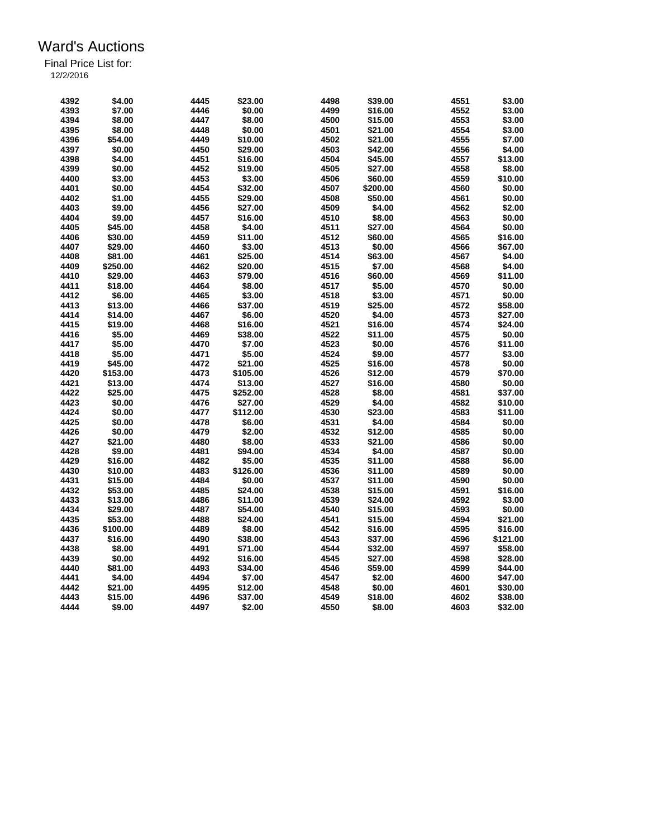| 4392 | \$4.00   | 4445 | \$23.00  | 4498 | \$39.00  | 4551 | \$3.00   |
|------|----------|------|----------|------|----------|------|----------|
| 4393 | \$7.00   | 4446 | \$0.00   | 4499 | \$16.00  | 4552 | \$3.00   |
| 4394 | \$8.00   | 4447 | \$8.00   | 4500 | \$15.00  | 4553 | \$3.00   |
| 4395 | \$8.00   | 4448 | \$0.00   | 4501 | \$21.00  | 4554 | \$3.00   |
| 4396 | \$54.00  | 4449 | \$10.00  | 4502 | \$21.00  | 4555 | \$7.00   |
|      | \$0.00   |      |          |      |          |      |          |
| 4397 |          | 4450 | \$29.00  | 4503 | \$42.00  | 4556 | \$4.00   |
| 4398 | \$4.00   | 4451 | \$16.00  | 4504 | \$45.00  | 4557 | \$13.00  |
| 4399 | \$0.00   | 4452 | \$19.00  | 4505 | \$27.00  | 4558 | \$8.00   |
| 4400 | \$3.00   | 4453 | \$3.00   | 4506 | \$60.00  | 4559 | \$10.00  |
| 4401 | \$0.00   | 4454 | \$32.00  | 4507 | \$200.00 | 4560 | \$0.00   |
| 4402 | \$1.00   | 4455 | \$29.00  | 4508 | \$50.00  | 4561 | \$0.00   |
| 4403 | \$9.00   | 4456 | \$27.00  | 4509 | \$4.00   | 4562 | \$2.00   |
| 4404 | \$9.00   | 4457 | \$16.00  | 4510 | \$8.00   | 4563 | \$0.00   |
| 4405 | \$45.00  | 4458 | \$4.00   | 4511 | \$27.00  | 4564 | \$0.00   |
| 4406 | \$30.00  | 4459 | \$11.00  | 4512 | \$60.00  | 4565 | \$16.00  |
| 4407 | \$29.00  | 4460 | \$3.00   | 4513 | \$0.00   | 4566 | \$67.00  |
| 4408 | \$81.00  | 4461 | \$25.00  | 4514 | \$63.00  | 4567 | \$4.00   |
| 4409 | \$250.00 | 4462 | \$20.00  | 4515 | \$7.00   | 4568 | \$4.00   |
| 4410 | \$29.00  | 4463 | \$79.00  | 4516 | \$60.00  | 4569 | \$11.00  |
| 4411 | \$18.00  | 4464 | \$8.00   | 4517 | \$5.00   | 4570 | \$0.00   |
| 4412 | \$6.00   | 4465 | \$3.00   | 4518 | \$3.00   | 4571 | \$0.00   |
| 4413 | \$13.00  | 4466 | \$37.00  | 4519 | \$25.00  | 4572 | \$58.00  |
| 4414 | \$14.00  | 4467 | \$6.00   | 4520 | \$4.00   | 4573 | \$27.00  |
| 4415 | \$19.00  | 4468 | \$16.00  | 4521 | \$16.00  | 4574 | \$24.00  |
| 4416 | \$5.00   | 4469 | \$38.00  | 4522 | \$11.00  | 4575 | \$0.00   |
| 4417 | \$5.00   | 4470 | \$7.00   | 4523 | \$0.00   | 4576 | \$11.00  |
| 4418 | \$5.00   | 4471 | \$5.00   | 4524 | \$9.00   | 4577 | \$3.00   |
| 4419 | \$45.00  | 4472 | \$21.00  | 4525 | \$16.00  | 4578 | \$0.00   |
|      |          |      |          |      |          |      |          |
| 4420 | \$153.00 | 4473 | \$105.00 | 4526 | \$12.00  | 4579 | \$70.00  |
| 4421 | \$13.00  | 4474 | \$13.00  | 4527 | \$16.00  | 4580 | \$0.00   |
| 4422 | \$25.00  | 4475 | \$252.00 | 4528 | \$8.00   | 4581 | \$37.00  |
| 4423 | \$0.00   | 4476 | \$27.00  | 4529 | \$4.00   | 4582 | \$10.00  |
| 4424 | \$0.00   | 4477 | \$112.00 | 4530 | \$23.00  | 4583 | \$11.00  |
| 4425 | \$0.00   | 4478 | \$6.00   | 4531 | \$4.00   | 4584 | \$0.00   |
| 4426 | \$0.00   | 4479 | \$2.00   | 4532 | \$12.00  | 4585 | \$0.00   |
| 4427 | \$21.00  | 4480 | \$8.00   | 4533 | \$21.00  | 4586 | \$0.00   |
| 4428 | \$9.00   | 4481 | \$94.00  | 4534 | \$4.00   | 4587 | \$0.00   |
| 4429 | \$16.00  | 4482 | \$5.00   | 4535 | \$11.00  | 4588 | \$6.00   |
| 4430 | \$10.00  | 4483 | \$126.00 | 4536 | \$11.00  | 4589 | \$0.00   |
| 4431 | \$15.00  | 4484 | \$0.00   | 4537 | \$11.00  | 4590 | \$0.00   |
| 4432 | \$53.00  | 4485 | \$24.00  | 4538 | \$15.00  | 4591 | \$16.00  |
| 4433 | \$13.00  | 4486 | \$11.00  | 4539 | \$24.00  | 4592 | \$3.00   |
| 4434 | \$29.00  | 4487 | \$54.00  | 4540 | \$15.00  | 4593 | \$0.00   |
| 4435 | \$53.00  | 4488 | \$24.00  | 4541 | \$15.00  | 4594 | \$21.00  |
| 4436 | \$100.00 | 4489 | \$8.00   | 4542 | \$16.00  | 4595 | \$16.00  |
| 4437 | \$16.00  | 4490 | \$38.00  | 4543 | \$37.00  | 4596 | \$121.00 |
| 4438 | \$8.00   | 4491 | \$71.00  | 4544 | \$32.00  | 4597 | \$58.00  |
| 4439 | \$0.00   | 4492 | \$16.00  | 4545 | \$27.00  | 4598 | \$28.00  |
| 4440 | \$81.00  | 4493 | \$34.00  | 4546 | \$59.00  | 4599 | \$44.00  |
| 4441 | \$4.00   | 4494 | \$7.00   | 4547 | \$2.00   | 4600 | \$47.00  |
| 4442 | \$21.00  | 4495 | \$12.00  | 4548 | \$0.00   | 4601 | \$30.00  |
| 4443 | \$15.00  | 4496 | \$37.00  | 4549 | \$18.00  | 4602 | \$38.00  |
| 4444 | \$9.00   | 4497 | \$2.00   | 4550 | \$8.00   | 4603 |          |
|      |          |      |          |      |          |      | \$32.00  |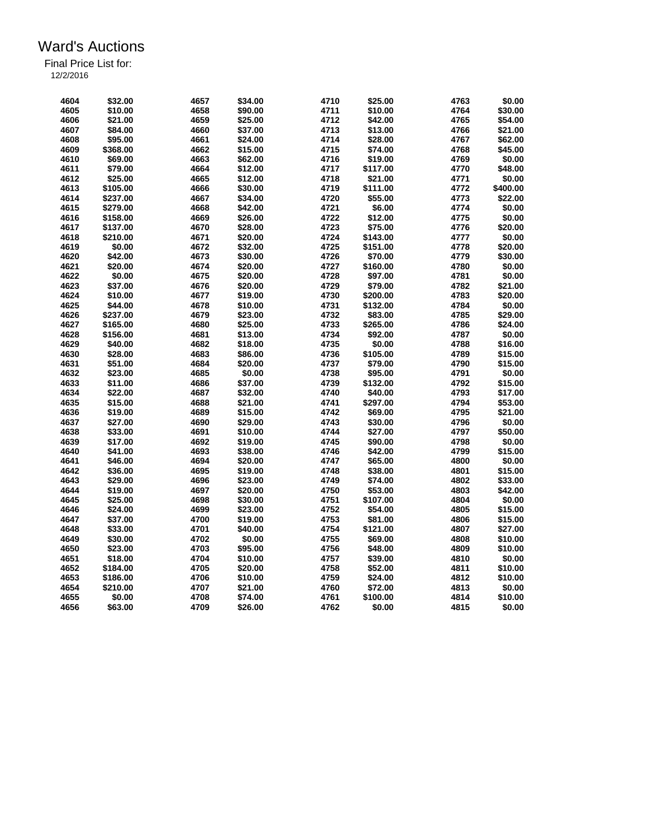| 4604         | \$32.00  | 4657 | \$34.00 | 4710         | \$25.00  | 4763         | \$0.00   |
|--------------|----------|------|---------|--------------|----------|--------------|----------|
| 4605         | \$10.00  | 4658 | \$90.00 | 4711         | \$10.00  | 4764         | \$30.00  |
| 4606         | \$21.00  | 4659 | \$25.00 | 4712         | \$42.00  | 4765         | \$54.00  |
| 4607         | \$84.00  | 4660 | \$37.00 | 4713         | \$13.00  | 4766         | \$21.00  |
| 4608         | \$95.00  | 4661 | \$24.00 | 4714         | \$28.00  | 4767         | \$62.00  |
| 4609         | \$368.00 | 4662 | \$15.00 | 4715         | \$74.00  | 4768         | \$45.00  |
| 4610         | \$69.00  | 4663 | \$62.00 | 4716         | \$19.00  | 4769         | \$0.00   |
| 4611         | \$79.00  | 4664 | \$12.00 | 4717         | \$117.00 | 4770         | \$48.00  |
| 4612         | \$25.00  | 4665 | \$12.00 | 4718         | \$21.00  | 4771         | \$0.00   |
| 4613         | \$105.00 | 4666 | \$30.00 | 4719         | \$111.00 | 4772         | \$400.00 |
| 4614         | \$237.00 | 4667 | \$34.00 | 4720         | \$55.00  | 4773         | \$22.00  |
| 4615         | \$279.00 | 4668 | \$42.00 | 4721         | \$6.00   | 4774         | \$0.00   |
| 4616         | \$158.00 | 4669 | \$26.00 | 4722         | \$12.00  | 4775         | \$0.00   |
| 4617         | \$137.00 | 4670 | \$28.00 | 4723         | \$75.00  | 4776         | \$20.00  |
| 4618         | \$210.00 | 4671 | \$20.00 | 4724         | \$143.00 | 4777         | \$0.00   |
| 4619         | \$0.00   | 4672 | \$32.00 | 4725         | \$151.00 | 4778         | \$20.00  |
| 4620         | \$42.00  | 4673 | \$30.00 | 4726         | \$70.00  | 4779         | \$30.00  |
| 4621         | \$20.00  | 4674 | \$20.00 | 4727         | \$160.00 | 4780         | \$0.00   |
| 4622         | \$0.00   | 4675 | \$20.00 | 4728         |          |              | \$0.00   |
|              | \$37.00  |      |         |              | \$97.00  | 4781         |          |
| 4623<br>4624 |          | 4676 | \$20.00 | 4729<br>4730 | \$79.00  | 4782<br>4783 | \$21.00  |
|              | \$10.00  | 4677 | \$19.00 |              | \$200.00 |              | \$20.00  |
| 4625         | \$44.00  | 4678 | \$10.00 | 4731         | \$132.00 | 4784         | \$0.00   |
| 4626         | \$237.00 | 4679 | \$23.00 | 4732         | \$83.00  | 4785         | \$29.00  |
| 4627         | \$165.00 | 4680 | \$25.00 | 4733         | \$265.00 | 4786         | \$24.00  |
| 4628         | \$156.00 | 4681 | \$13.00 | 4734         | \$92.00  | 4787         | \$0.00   |
| 4629         | \$40.00  | 4682 | \$18.00 | 4735         | \$0.00   | 4788         | \$16.00  |
| 4630         | \$28.00  | 4683 | \$86.00 | 4736         | \$105.00 | 4789         | \$15.00  |
| 4631         | \$51.00  | 4684 | \$20.00 | 4737         | \$79.00  | 4790         | \$15.00  |
| 4632         | \$23.00  | 4685 | \$0.00  | 4738         | \$95.00  | 4791         | \$0.00   |
| 4633         | \$11.00  | 4686 | \$37.00 | 4739         | \$132.00 | 4792         | \$15.00  |
| 4634         | \$22.00  | 4687 | \$32.00 | 4740         | \$40.00  | 4793         | \$17.00  |
| 4635         | \$15.00  | 4688 | \$21.00 | 4741         | \$297.00 | 4794         | \$53.00  |
| 4636         | \$19.00  | 4689 | \$15.00 | 4742         | \$69.00  | 4795         | \$21.00  |
| 4637         | \$27.00  | 4690 | \$29.00 | 4743         | \$30.00  | 4796         | \$0.00   |
| 4638         | \$33.00  | 4691 | \$10.00 | 4744         | \$27.00  | 4797         | \$50.00  |
| 4639         | \$17.00  | 4692 | \$19.00 | 4745         | \$90.00  | 4798         | \$0.00   |
| 4640         | \$41.00  | 4693 | \$38.00 | 4746         | \$42.00  | 4799         | \$15.00  |
| 4641         | \$46.00  | 4694 | \$20.00 | 4747         | \$65.00  | 4800         | \$0.00   |
| 4642         | \$36.00  | 4695 | \$19.00 | 4748         | \$38.00  | 4801         | \$15.00  |
| 4643         | \$29.00  | 4696 | \$23.00 | 4749         | \$74.00  | 4802         | \$33.00  |
| 4644         | \$19.00  | 4697 | \$20.00 | 4750         | \$53.00  | 4803         | \$42.00  |
| 4645         | \$25.00  | 4698 | \$30.00 | 4751         | \$107.00 | 4804         | \$0.00   |
| 4646         | \$24.00  | 4699 | \$23.00 | 4752         | \$54.00  | 4805         | \$15.00  |
| 4647         | \$37.00  | 4700 | \$19.00 | 4753         | \$81.00  | 4806         | \$15.00  |
| 4648         | \$33.00  | 4701 | \$40.00 | 4754         | \$121.00 | 4807         | \$27.00  |
| 4649         | \$30.00  | 4702 | \$0.00  | 4755         | \$69.00  | 4808         | \$10.00  |
| 4650         | \$23.00  | 4703 | \$95.00 | 4756         | \$48.00  | 4809         | \$10.00  |
| 4651         | \$18.00  | 4704 | \$10.00 | 4757         | \$39.00  | 4810         | \$0.00   |
| 4652         | \$184.00 | 4705 | \$20.00 | 4758         | \$52.00  | 4811         | \$10.00  |
| 4653         | \$186.00 | 4706 | \$10.00 | 4759         | \$24.00  | 4812         | \$10.00  |
| 4654         | \$210.00 | 4707 | \$21.00 | 4760         | \$72.00  | 4813         | \$0.00   |
| 4655         | \$0.00   | 4708 | \$74.00 | 4761         | \$100.00 | 4814         | \$10.00  |
|              | \$63.00  | 4709 | \$26.00 | 4762         | \$0.00   | 4815         | \$0.00   |
| 4656         |          |      |         |              |          |              |          |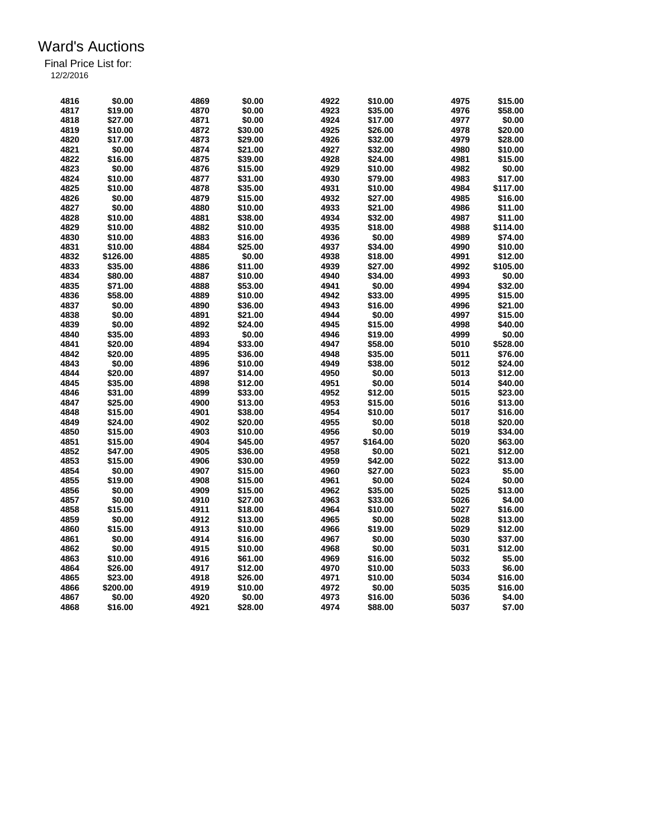| 4816 | \$0.00   | 4869 | \$0.00  | 4922 | \$10.00  | 4975 | \$15.00  |
|------|----------|------|---------|------|----------|------|----------|
| 4817 |          |      |         | 4923 |          |      |          |
|      | \$19.00  | 4870 | \$0.00  |      | \$35.00  | 4976 | \$58.00  |
| 4818 | \$27.00  | 4871 | \$0.00  | 4924 | \$17.00  | 4977 | \$0.00   |
| 4819 | \$10.00  | 4872 | \$30.00 | 4925 | \$26.00  | 4978 | \$20.00  |
| 4820 | \$17.00  | 4873 | \$29.00 | 4926 | \$32.00  | 4979 | \$28.00  |
| 4821 | \$0.00   | 4874 | \$21.00 | 4927 | \$32.00  | 4980 | \$10.00  |
| 4822 | \$16.00  | 4875 | \$39.00 | 4928 | \$24.00  | 4981 | \$15.00  |
| 4823 | \$0.00   | 4876 | \$15.00 | 4929 | \$10.00  | 4982 | \$0.00   |
| 4824 | \$10.00  | 4877 | \$31.00 | 4930 | \$79.00  | 4983 | \$17.00  |
| 4825 | \$10.00  | 4878 | \$35.00 | 4931 | \$10.00  | 4984 | \$117.00 |
| 4826 | \$0.00   | 4879 | \$15.00 | 4932 | \$27.00  | 4985 | \$16.00  |
| 4827 | \$0.00   | 4880 | \$10.00 | 4933 | \$21.00  | 4986 | \$11.00  |
| 4828 | \$10.00  | 4881 | \$38.00 | 4934 | \$32.00  | 4987 | \$11.00  |
| 4829 | \$10.00  | 4882 | \$10.00 | 4935 | \$18.00  | 4988 | \$114.00 |
| 4830 | \$10.00  | 4883 | \$16.00 | 4936 | \$0.00   | 4989 | \$74.00  |
| 4831 | \$10.00  | 4884 | \$25.00 | 4937 | \$34.00  | 4990 | \$10.00  |
| 4832 | \$126.00 | 4885 | \$0.00  | 4938 | \$18.00  | 4991 | \$12.00  |
| 4833 | \$35.00  | 4886 | \$11.00 | 4939 | \$27.00  | 4992 | \$105.00 |
| 4834 | \$80.00  | 4887 | \$10.00 | 4940 | \$34.00  | 4993 | \$0.00   |
| 4835 | \$71.00  | 4888 | \$53.00 | 4941 | \$0.00   | 4994 | \$32.00  |
| 4836 | \$58.00  | 4889 | \$10.00 | 4942 | \$33.00  | 4995 | \$15.00  |
| 4837 | \$0.00   | 4890 |         | 4943 | \$16.00  | 4996 | \$21.00  |
| 4838 |          |      | \$36.00 |      |          | 4997 |          |
|      | \$0.00   | 4891 | \$21.00 | 4944 | \$0.00   |      | \$15.00  |
| 4839 | \$0.00   | 4892 | \$24.00 | 4945 | \$15.00  | 4998 | \$40.00  |
| 4840 | \$35.00  | 4893 | \$0.00  | 4946 | \$19.00  | 4999 | \$0.00   |
| 4841 | \$20.00  | 4894 | \$33.00 | 4947 | \$58.00  | 5010 | \$528.00 |
| 4842 | \$20.00  | 4895 | \$36.00 | 4948 | \$35.00  | 5011 | \$76.00  |
| 4843 | \$0.00   | 4896 | \$10.00 | 4949 | \$38.00  | 5012 | \$24.00  |
| 4844 | \$20.00  | 4897 | \$14.00 | 4950 | \$0.00   | 5013 | \$12.00  |
| 4845 | \$35.00  | 4898 | \$12.00 | 4951 | \$0.00   | 5014 | \$40.00  |
| 4846 | \$31.00  | 4899 | \$33.00 | 4952 | \$12.00  | 5015 | \$23.00  |
| 4847 | \$25.00  | 4900 | \$13.00 | 4953 | \$15.00  | 5016 | \$13.00  |
| 4848 | \$15.00  | 4901 | \$38.00 | 4954 | \$10.00  | 5017 | \$16.00  |
| 4849 | \$24.00  | 4902 | \$20.00 | 4955 | \$0.00   | 5018 | \$20.00  |
| 4850 | \$15.00  | 4903 | \$10.00 | 4956 | \$0.00   | 5019 | \$34.00  |
| 4851 | \$15.00  | 4904 | \$45.00 | 4957 | \$164.00 | 5020 | \$63.00  |
| 4852 | \$47.00  | 4905 | \$36.00 | 4958 | \$0.00   | 5021 | \$12.00  |
| 4853 | \$15.00  | 4906 | \$30.00 | 4959 | \$42.00  | 5022 | \$13.00  |
| 4854 | \$0.00   | 4907 | \$15.00 | 4960 | \$27.00  | 5023 | \$5.00   |
| 4855 | \$19.00  | 4908 | \$15.00 | 4961 | \$0.00   | 5024 | \$0.00   |
| 4856 | \$0.00   | 4909 | \$15.00 | 4962 | \$35.00  | 5025 | \$13.00  |
| 4857 | \$0.00   | 4910 | \$27.00 | 4963 | \$33.00  | 5026 | \$4.00   |
| 4858 | \$15.00  | 4911 | \$18.00 | 4964 | \$10.00  | 5027 | \$16.00  |
| 4859 | \$0.00   | 4912 | \$13.00 | 4965 | \$0.00   | 5028 | \$13.00  |
|      |          |      |         |      |          |      |          |
| 4860 | \$15.00  | 4913 | \$10.00 | 4966 | \$19.00  | 5029 | \$12.00  |
| 4861 | \$0.00   | 4914 | \$16.00 | 4967 | \$0.00   | 5030 | \$37.00  |
| 4862 | \$0.00   | 4915 | \$10.00 | 4968 | \$0.00   | 5031 | \$12.00  |
| 4863 | \$10.00  | 4916 | \$61.00 | 4969 | \$16.00  | 5032 | \$5.00   |
| 4864 | \$26.00  | 4917 | \$12.00 | 4970 | \$10.00  | 5033 | \$6.00   |
| 4865 | \$23.00  | 4918 | \$26.00 | 4971 | \$10.00  | 5034 | \$16.00  |
| 4866 | \$200.00 | 4919 | \$10.00 | 4972 | \$0.00   | 5035 | \$16.00  |
| 4867 | \$0.00   | 4920 | \$0.00  | 4973 | \$16.00  | 5036 | \$4.00   |
| 4868 | \$16.00  | 4921 | \$28.00 | 4974 | \$88.00  | 5037 | \$7.00   |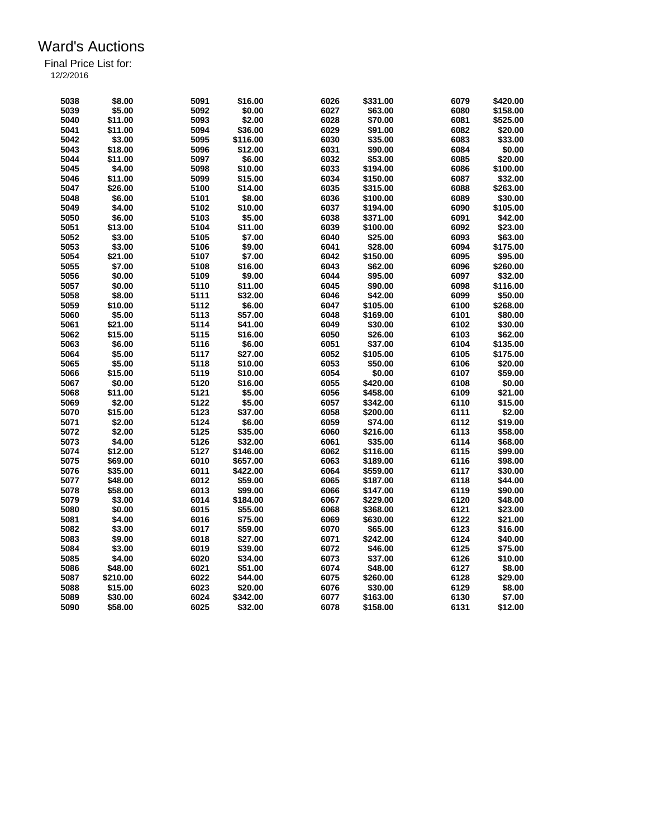| 5038 | \$8.00   | 5091 | \$16.00  | 6026 | \$331.00 | 6079 | \$420.00 |
|------|----------|------|----------|------|----------|------|----------|
| 5039 | \$5.00   | 5092 | \$0.00   | 6027 | \$63.00  | 6080 | \$158.00 |
| 5040 | \$11.00  | 5093 | \$2.00   | 6028 | \$70.00  | 6081 | \$525.00 |
| 5041 | \$11.00  | 5094 | \$36.00  | 6029 | \$91.00  | 6082 | \$20.00  |
| 5042 | \$3.00   | 5095 | \$116.00 | 6030 | \$35.00  | 6083 | \$33.00  |
| 5043 | \$18.00  | 5096 |          | 6031 |          | 6084 | \$0.00   |
|      |          |      | \$12.00  |      | \$90.00  |      |          |
| 5044 | \$11.00  | 5097 | \$6.00   | 6032 | \$53.00  | 6085 | \$20.00  |
| 5045 | \$4.00   | 5098 | \$10.00  | 6033 | \$194.00 | 6086 | \$100.00 |
| 5046 | \$11.00  | 5099 | \$15.00  | 6034 | \$150.00 | 6087 | \$32.00  |
| 5047 | \$26.00  | 5100 | \$14.00  | 6035 | \$315.00 | 6088 | \$263.00 |
| 5048 | \$6.00   | 5101 | \$8.00   | 6036 | \$100.00 | 6089 | \$30.00  |
| 5049 | \$4.00   | 5102 | \$10.00  | 6037 | \$194.00 | 6090 | \$105.00 |
| 5050 | \$6.00   | 5103 | \$5.00   | 6038 | \$371.00 | 6091 | \$42.00  |
| 5051 | \$13.00  | 5104 | \$11.00  | 6039 | \$100.00 | 6092 | \$23.00  |
| 5052 | \$3.00   | 5105 | \$7.00   | 6040 | \$25.00  | 6093 | \$63.00  |
| 5053 | \$3.00   | 5106 | \$9.00   | 6041 | \$28.00  | 6094 | \$175.00 |
| 5054 | \$21.00  | 5107 | \$7.00   | 6042 | \$150.00 | 6095 | \$95.00  |
| 5055 | \$7.00   | 5108 | \$16.00  | 6043 | \$62.00  | 6096 | \$260.00 |
| 5056 | \$0.00   | 5109 | \$9.00   | 6044 | \$95.00  | 6097 | \$32.00  |
| 5057 | \$0.00   | 5110 | \$11.00  | 6045 | \$90.00  | 6098 | \$116.00 |
| 5058 | \$8.00   | 5111 | \$32.00  | 6046 | \$42.00  | 6099 | \$50.00  |
| 5059 | \$10.00  | 5112 | \$6.00   | 6047 | \$105.00 | 6100 | \$268.00 |
| 5060 | \$5.00   | 5113 | \$57.00  | 6048 | \$169.00 | 6101 | \$80.00  |
| 5061 | \$21.00  | 5114 | \$41.00  | 6049 | \$30.00  | 6102 | \$30.00  |
| 5062 | \$15.00  | 5115 | \$16.00  | 6050 | \$26.00  | 6103 | \$62.00  |
| 5063 | \$6.00   | 5116 | \$6.00   | 6051 | \$37.00  | 6104 | \$135.00 |
| 5064 | \$5.00   | 5117 | \$27.00  | 6052 | \$105.00 | 6105 | \$175.00 |
|      |          | 5118 |          | 6053 |          |      |          |
| 5065 | \$5.00   |      | \$10.00  |      | \$50.00  | 6106 | \$20.00  |
| 5066 | \$15.00  | 5119 | \$10.00  | 6054 | \$0.00   | 6107 | \$59.00  |
| 5067 | \$0.00   | 5120 | \$16.00  | 6055 | \$420.00 | 6108 | \$0.00   |
| 5068 | \$11.00  | 5121 | \$5.00   | 6056 | \$458.00 | 6109 | \$21.00  |
| 5069 | \$2.00   | 5122 | \$5.00   | 6057 | \$342.00 | 6110 | \$15.00  |
| 5070 | \$15.00  | 5123 | \$37.00  | 6058 | \$200.00 | 6111 | \$2.00   |
| 5071 | \$2.00   | 5124 | \$6.00   | 6059 | \$74.00  | 6112 | \$19.00  |
| 5072 | \$2.00   | 5125 | \$35.00  | 6060 | \$216.00 | 6113 | \$58.00  |
| 5073 | \$4.00   | 5126 | \$32.00  | 6061 | \$35.00  | 6114 | \$68.00  |
| 5074 | \$12.00  | 5127 | \$146.00 | 6062 | \$116.00 | 6115 | \$99.00  |
| 5075 | \$69.00  | 6010 | \$657.00 | 6063 | \$189.00 | 6116 | \$98.00  |
| 5076 | \$35.00  | 6011 | \$422.00 | 6064 | \$559.00 | 6117 | \$30.00  |
| 5077 | \$48.00  | 6012 | \$59.00  | 6065 | \$187.00 | 6118 | \$44.00  |
| 5078 | \$58.00  | 6013 | \$99.00  | 6066 | \$147.00 | 6119 | \$90.00  |
| 5079 | \$3.00   | 6014 | \$184.00 | 6067 | \$229.00 | 6120 | \$48.00  |
| 5080 | \$0.00   | 6015 | \$55.00  | 6068 | \$368.00 | 6121 | \$23.00  |
| 5081 | \$4.00   | 6016 | \$75.00  | 6069 | \$630.00 | 6122 | \$21.00  |
| 5082 | \$3.00   | 6017 | \$59.00  | 6070 | \$65.00  | 6123 | \$16.00  |
| 5083 | \$9.00   | 6018 | \$27.00  | 6071 | \$242.00 | 6124 | \$40.00  |
| 5084 | \$3.00   | 6019 | \$39.00  | 6072 | \$46.00  | 6125 | \$75.00  |
| 5085 | \$4.00   | 6020 | \$34.00  | 6073 | \$37.00  | 6126 | \$10.00  |
| 5086 | \$48.00  | 6021 | \$51.00  | 6074 | \$48.00  | 6127 | \$8.00   |
| 5087 | \$210.00 | 6022 | \$44.00  | 6075 | \$260.00 | 6128 | \$29.00  |
| 5088 | \$15.00  | 6023 | \$20.00  | 6076 | \$30.00  | 6129 | \$8.00   |
|      |          |      |          |      |          |      |          |
| 5089 | \$30.00  | 6024 | \$342.00 | 6077 | \$163.00 | 6130 | \$7.00   |
| 5090 | \$58.00  | 6025 | \$32.00  | 6078 | \$158.00 | 6131 | \$12.00  |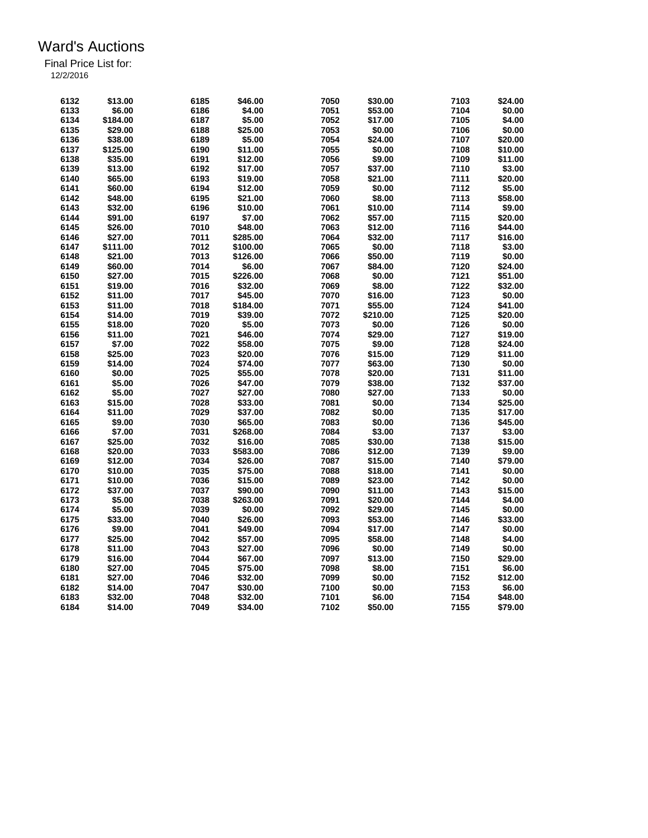| 6132 | \$13.00            | 6185 | \$46.00  | 7050 | \$30.00          | 7103         | \$24.00 |
|------|--------------------|------|----------|------|------------------|--------------|---------|
| 6133 | \$6.00             | 6186 | \$4.00   | 7051 | \$53.00          | 7104         | \$0.00  |
| 6134 | \$184.00           | 6187 | \$5.00   | 7052 | \$17.00          | 7105         | \$4.00  |
| 6135 | \$29.00            | 6188 | \$25.00  | 7053 | \$0.00           | 7106         | \$0.00  |
| 6136 | \$38.00            | 6189 | \$5.00   | 7054 | \$24.00          | 7107         | \$20.00 |
| 6137 | \$125.00           | 6190 | \$11.00  | 7055 | \$0.00           | 7108         | \$10.00 |
| 6138 | \$35.00            | 6191 | \$12.00  | 7056 | \$9.00           | 7109         | \$11.00 |
| 6139 |                    | 6192 | \$17.00  | 7057 |                  |              | \$3.00  |
|      | \$13.00<br>\$65.00 | 6193 |          | 7058 | \$37.00          | 7110<br>7111 | \$20.00 |
| 6140 |                    |      | \$19.00  | 7059 | \$21.00          | 7112         | \$5.00  |
| 6141 | \$60.00            | 6194 | \$12.00  |      | \$0.00           |              |         |
| 6142 | \$48.00            | 6195 | \$21.00  | 7060 | \$8.00           | 7113         | \$58.00 |
| 6143 | \$32.00            | 6196 | \$10.00  | 7061 | \$10.00          | 7114         | \$9.00  |
| 6144 | \$91.00            | 6197 | \$7.00   | 7062 | \$57.00          | 7115         | \$20.00 |
| 6145 | \$26.00            | 7010 | \$48.00  | 7063 | \$12.00          | 7116         | \$44.00 |
| 6146 | \$27.00            | 7011 | \$285.00 | 7064 | \$32.00          | 7117         | \$16.00 |
| 6147 | \$111.00           | 7012 | \$100.00 | 7065 | \$0.00           | 7118         | \$3.00  |
| 6148 | \$21.00            | 7013 | \$126.00 | 7066 | \$50.00          | 7119         | \$0.00  |
| 6149 | \$60.00            | 7014 | \$6.00   | 7067 | \$84.00          | 7120         | \$24.00 |
| 6150 | \$27.00            | 7015 | \$226.00 | 7068 | \$0.00           | 7121         | \$51.00 |
| 6151 | \$19.00            | 7016 | \$32.00  | 7069 | \$8.00           | 7122         | \$32.00 |
| 6152 | \$11.00            | 7017 | \$45.00  | 7070 | \$16.00          | 7123         | \$0.00  |
| 6153 | \$11.00            | 7018 | \$184.00 | 7071 | \$55.00          | 7124         | \$41.00 |
| 6154 | \$14.00            | 7019 | \$39.00  | 7072 | \$210.00         | 7125         | \$20.00 |
| 6155 | \$18.00            | 7020 | \$5.00   | 7073 | \$0.00           | 7126         | \$0.00  |
| 6156 | \$11.00            | 7021 | \$46.00  | 7074 | \$29.00          | 7127         | \$19.00 |
| 6157 | \$7.00             | 7022 | \$58.00  | 7075 | \$9.00           | 7128         | \$24.00 |
| 6158 | \$25.00            | 7023 | \$20.00  | 7076 | \$15.00          | 7129         | \$11.00 |
| 6159 | \$14.00            | 7024 | \$74.00  | 7077 | \$63.00          | 7130         | \$0.00  |
| 6160 | \$0.00             | 7025 | \$55.00  | 7078 | \$20.00          | 7131         | \$11.00 |
| 6161 | \$5.00             | 7026 | \$47.00  | 7079 | \$38.00          | 7132         | \$37.00 |
| 6162 | \$5.00             | 7027 | \$27.00  | 7080 | \$27.00          | 7133         | \$0.00  |
|      |                    | 7028 |          | 7081 |                  | 7134         |         |
| 6163 | \$15.00            | 7029 | \$33.00  | 7082 | \$0.00<br>\$0.00 | 7135         | \$25.00 |
| 6164 | \$11.00            |      | \$37.00  |      |                  |              | \$17.00 |
| 6165 | \$9.00             | 7030 | \$65.00  | 7083 | \$0.00           | 7136         | \$45.00 |
| 6166 | \$7.00             | 7031 | \$268.00 | 7084 | \$3.00           | 7137         | \$3.00  |
| 6167 | \$25.00            | 7032 | \$16.00  | 7085 | \$30.00          | 7138         | \$15.00 |
| 6168 | \$20.00            | 7033 | \$583.00 | 7086 | \$12.00          | 7139         | \$9.00  |
| 6169 | \$12.00            | 7034 | \$26.00  | 7087 | \$15.00          | 7140         | \$79.00 |
| 6170 | \$10.00            | 7035 | \$75.00  | 7088 | \$18.00          | 7141         | \$0.00  |
| 6171 | \$10.00            | 7036 | \$15.00  | 7089 | \$23.00          | 7142         | \$0.00  |
| 6172 | \$37.00            | 7037 | \$90.00  | 7090 | \$11.00          | 7143         | \$15.00 |
| 6173 | \$5.00             | 7038 | \$263.00 | 7091 | \$20.00          | 7144         | \$4.00  |
| 6174 | \$5.00             | 7039 | \$0.00   | 7092 | \$29.00          | 7145         | \$0.00  |
| 6175 | \$33.00            | 7040 | \$26.00  | 7093 | \$53.00          | 7146         | \$33.00 |
| 6176 | \$9.00             | 7041 | \$49.00  | 7094 | \$17.00          | 7147         | \$0.00  |
| 6177 | \$25.00            | 7042 | \$57.00  | 7095 | \$58.00          | 7148         | \$4.00  |
| 6178 | \$11.00            | 7043 | \$27.00  | 7096 | \$0.00           | 7149         | \$0.00  |
| 6179 | \$16.00            | 7044 | \$67.00  | 7097 | \$13.00          | 7150         | \$29.00 |
| 6180 | \$27.00            | 7045 | \$75.00  | 7098 | \$8.00           | 7151         | \$6.00  |
| 6181 | \$27.00            | 7046 | \$32.00  | 7099 | \$0.00           | 7152         | \$12.00 |
| 6182 | \$14.00            | 7047 | \$30.00  | 7100 | \$0.00           | 7153         | \$6.00  |
| 6183 | \$32.00            | 7048 | \$32.00  | 7101 | \$6.00           | 7154         | \$48.00 |
| 6184 | \$14.00            | 7049 | \$34.00  | 7102 | \$50.00          | 7155         | \$79.00 |
|      |                    |      |          |      |                  |              |         |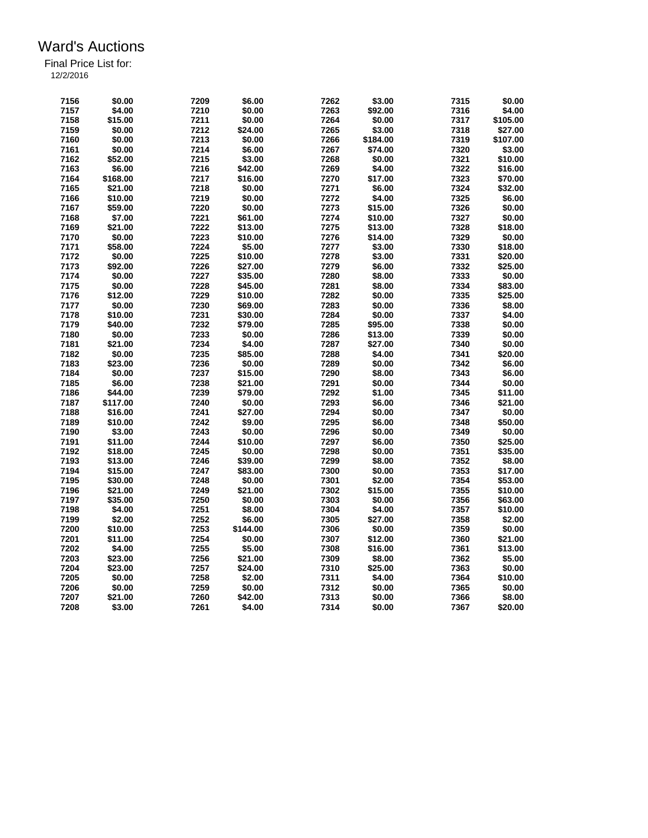| 7156 | \$0.00   | 7209 | \$6.00   | 7262 | \$3.00   | 7315 | \$0.00   |
|------|----------|------|----------|------|----------|------|----------|
| 7157 | \$4.00   | 7210 | \$0.00   | 7263 | \$92.00  | 7316 | \$4.00   |
| 7158 | \$15.00  | 7211 | \$0.00   | 7264 | \$0.00   | 7317 | \$105.00 |
| 7159 | \$0.00   | 7212 | \$24.00  | 7265 | \$3.00   | 7318 | \$27.00  |
| 7160 | \$0.00   | 7213 | \$0.00   | 7266 | \$184.00 | 7319 | \$107.00 |
| 7161 | \$0.00   | 7214 | \$6.00   | 7267 | \$74.00  | 7320 | \$3.00   |
| 7162 | \$52.00  | 7215 | \$3.00   | 7268 | \$0.00   | 7321 | \$10.00  |
| 7163 | \$6.00   | 7216 | \$42.00  | 7269 | \$4.00   | 7322 | \$16.00  |
| 7164 | \$168.00 | 7217 | \$16.00  | 7270 | \$17.00  | 7323 | \$70.00  |
| 7165 | \$21.00  | 7218 | \$0.00   | 7271 | \$6.00   | 7324 | \$32.00  |
| 7166 | \$10.00  | 7219 | \$0.00   | 7272 | \$4.00   | 7325 | \$6.00   |
| 7167 | \$59.00  | 7220 | \$0.00   | 7273 | \$15.00  | 7326 | \$0.00   |
| 7168 | \$7.00   | 7221 | \$61.00  | 7274 | \$10.00  | 7327 | \$0.00   |
| 7169 | \$21.00  | 7222 | \$13.00  | 7275 | \$13.00  | 7328 | \$18.00  |
| 7170 | \$0.00   | 7223 | \$10.00  | 7276 | \$14.00  | 7329 | \$0.00   |
| 7171 | \$58.00  | 7224 | \$5.00   | 7277 | \$3.00   | 7330 | \$18.00  |
| 7172 | \$0.00   | 7225 | \$10.00  | 7278 | \$3.00   | 7331 | \$20.00  |
| 7173 | \$92.00  | 7226 | \$27.00  | 7279 | \$6.00   | 7332 | \$25.00  |
| 7174 | \$0.00   | 7227 | \$35.00  | 7280 | \$8.00   | 7333 | \$0.00   |
| 7175 | \$0.00   | 7228 | \$45.00  | 7281 | \$8.00   | 7334 | \$83.00  |
| 7176 | \$12.00  | 7229 | \$10.00  | 7282 | \$0.00   | 7335 | \$25.00  |
| 7177 | \$0.00   | 7230 | \$69.00  | 7283 | \$0.00   | 7336 | \$8.00   |
| 7178 | \$10.00  | 7231 | \$30.00  | 7284 | \$0.00   | 7337 | \$4.00   |
| 7179 | \$40.00  | 7232 | \$79.00  | 7285 | \$95.00  | 7338 | \$0.00   |
| 7180 | \$0.00   | 7233 | \$0.00   | 7286 | \$13.00  | 7339 | \$0.00   |
| 7181 | \$21.00  | 7234 | \$4.00   | 7287 | \$27.00  | 7340 | \$0.00   |
| 7182 | \$0.00   | 7235 | \$85.00  | 7288 | \$4.00   | 7341 | \$20.00  |
| 7183 | \$23.00  | 7236 | \$0.00   | 7289 | \$0.00   | 7342 | \$6.00   |
| 7184 | \$0.00   | 7237 | \$15.00  | 7290 | \$8.00   | 7343 | \$6.00   |
| 7185 | \$6.00   | 7238 | \$21.00  | 7291 | \$0.00   | 7344 | \$0.00   |
| 7186 | \$44.00  | 7239 | \$79.00  | 7292 | \$1.00   | 7345 | \$11.00  |
| 7187 | \$117.00 | 7240 | \$0.00   | 7293 | \$6.00   | 7346 | \$21.00  |
| 7188 | \$16.00  | 7241 | \$27.00  | 7294 | \$0.00   | 7347 | \$0.00   |
| 7189 | \$10.00  | 7242 | \$9.00   | 7295 | \$6.00   | 7348 | \$50.00  |
| 7190 | \$3.00   | 7243 | \$0.00   | 7296 | \$0.00   | 7349 | \$0.00   |
| 7191 | \$11.00  | 7244 | \$10.00  | 7297 | \$6.00   | 7350 | \$25.00  |
| 7192 | \$18.00  | 7245 | \$0.00   | 7298 | \$0.00   | 7351 | \$35.00  |
| 7193 | \$13.00  | 7246 | \$39.00  | 7299 | \$8.00   | 7352 | \$8.00   |
| 7194 | \$15.00  | 7247 | \$83.00  | 7300 | \$0.00   | 7353 | \$17.00  |
| 7195 | \$30.00  | 7248 | \$0.00   | 7301 | \$2.00   | 7354 | \$53.00  |
| 7196 | \$21.00  | 7249 | \$21.00  | 7302 | \$15.00  | 7355 | \$10.00  |
| 7197 | \$35.00  | 7250 | \$0.00   | 7303 | \$0.00   | 7356 | \$63.00  |
| 7198 | \$4.00   | 7251 | \$8.00   | 7304 | \$4.00   | 7357 | \$10.00  |
| 7199 |          |      | \$6.00   |      | \$27.00  | 7358 | \$2.00   |
|      | \$2.00   | 7252 |          | 7305 |          |      |          |
| 7200 | \$10.00  | 7253 | \$144.00 | 7306 | \$0.00   | 7359 | \$0.00   |
| 7201 | \$11.00  | 7254 | \$0.00   | 7307 | \$12.00  | 7360 | \$21.00  |
| 7202 | \$4.00   | 7255 | \$5.00   | 7308 | \$16.00  | 7361 | \$13.00  |
| 7203 | \$23.00  | 7256 | \$21.00  | 7309 | \$8.00   | 7362 | \$5.00   |
| 7204 | \$23.00  | 7257 | \$24.00  | 7310 | \$25.00  | 7363 | \$0.00   |
| 7205 | \$0.00   | 7258 | \$2.00   | 7311 | \$4.00   | 7364 | \$10.00  |
| 7206 | \$0.00   | 7259 | \$0.00   | 7312 | \$0.00   | 7365 | \$0.00   |
| 7207 | \$21.00  | 7260 | \$42.00  | 7313 | \$0.00   | 7366 | \$8.00   |
| 7208 | \$3.00   | 7261 | \$4.00   | 7314 | \$0.00   | 7367 | \$20.00  |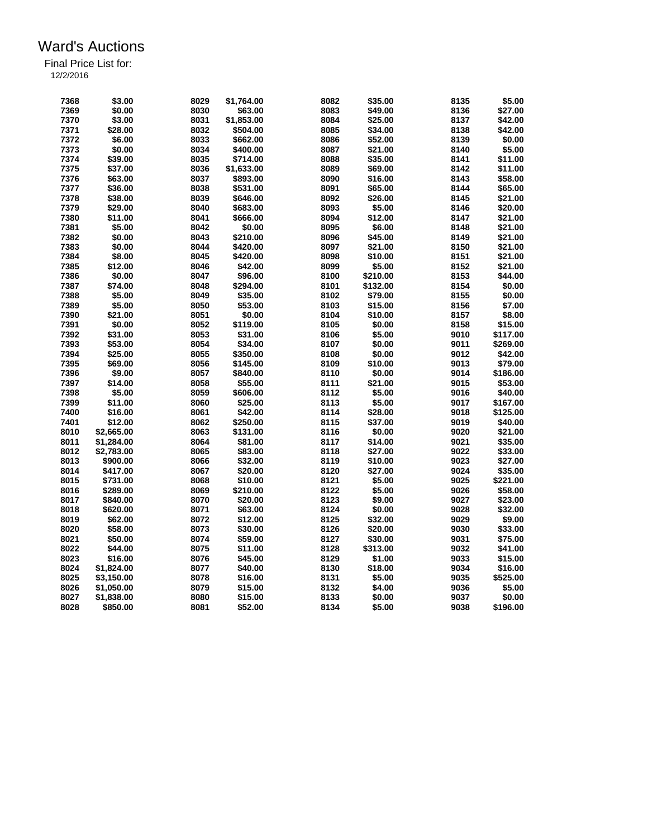| 7368 | \$3.00     | 8029 | \$1,764.00 | 8082 | \$35.00  | 8135 | \$5.00   |
|------|------------|------|------------|------|----------|------|----------|
| 7369 | \$0.00     | 8030 | \$63.00    | 8083 | \$49.00  | 8136 | \$27.00  |
| 7370 | \$3.00     | 8031 | \$1,853.00 | 8084 | \$25.00  | 8137 | \$42.00  |
| 7371 | \$28.00    | 8032 | \$504.00   | 8085 | \$34.00  | 8138 | \$42.00  |
| 7372 | \$6.00     | 8033 | \$662.00   | 8086 | \$52.00  | 8139 | \$0.00   |
| 7373 | \$0.00     | 8034 | \$400.00   | 8087 | \$21.00  | 8140 | \$5.00   |
| 7374 | \$39.00    | 8035 | \$714.00   | 8088 | \$35.00  | 8141 | \$11.00  |
| 7375 | \$37.00    | 8036 | \$1,633.00 | 8089 | \$69.00  | 8142 | \$11.00  |
| 7376 | \$63.00    | 8037 | \$893.00   | 8090 | \$16.00  | 8143 | \$58.00  |
| 7377 | \$36.00    | 8038 | \$531.00   | 8091 | \$65.00  | 8144 | \$65.00  |
| 7378 | \$38.00    | 8039 | \$646.00   | 8092 | \$26.00  | 8145 | \$21.00  |
| 7379 | \$29.00    | 8040 | \$683.00   | 8093 |          | 8146 | \$20.00  |
|      |            |      |            |      | \$5.00   |      |          |
| 7380 | \$11.00    | 8041 | \$666.00   | 8094 | \$12.00  | 8147 | \$21.00  |
| 7381 | \$5.00     | 8042 | \$0.00     | 8095 | \$6.00   | 8148 | \$21.00  |
| 7382 | \$0.00     | 8043 | \$210.00   | 8096 | \$45.00  | 8149 | \$21.00  |
| 7383 | \$0.00     | 8044 | \$420.00   | 8097 | \$21.00  | 8150 | \$21.00  |
| 7384 | \$8.00     | 8045 | \$420.00   | 8098 | \$10.00  | 8151 | \$21.00  |
| 7385 | \$12.00    | 8046 | \$42.00    | 8099 | \$5.00   | 8152 | \$21.00  |
| 7386 | \$0.00     | 8047 | \$96.00    | 8100 | \$210.00 | 8153 | \$44.00  |
| 7387 | \$74.00    | 8048 | \$294.00   | 8101 | \$132.00 | 8154 | \$0.00   |
| 7388 | \$5.00     | 8049 | \$35.00    | 8102 | \$79.00  | 8155 | \$0.00   |
| 7389 | \$5.00     | 8050 | \$53.00    | 8103 | \$15.00  | 8156 | \$7.00   |
| 7390 | \$21.00    | 8051 | \$0.00     | 8104 | \$10.00  | 8157 | \$8.00   |
| 7391 | \$0.00     | 8052 | \$119.00   | 8105 | \$0.00   | 8158 | \$15.00  |
| 7392 | \$31.00    | 8053 | \$31.00    | 8106 | \$5.00   | 9010 | \$117.00 |
| 7393 | \$53.00    | 8054 | \$34.00    | 8107 | \$0.00   | 9011 | \$269.00 |
| 7394 | \$25.00    | 8055 | \$350.00   | 8108 | \$0.00   | 9012 | \$42.00  |
| 7395 | \$69.00    | 8056 | \$145.00   | 8109 | \$10.00  | 9013 | \$79.00  |
| 7396 | \$9.00     | 8057 | \$840.00   | 8110 | \$0.00   | 9014 | \$186.00 |
| 7397 | \$14.00    | 8058 | \$55.00    | 8111 | \$21.00  | 9015 | \$53.00  |
| 7398 | \$5.00     | 8059 | \$606.00   | 8112 | \$5.00   | 9016 | \$40.00  |
| 7399 | \$11.00    | 8060 | \$25.00    | 8113 | \$5.00   | 9017 | \$167.00 |
| 7400 | \$16.00    | 8061 | \$42.00    | 8114 | \$28.00  | 9018 | \$125.00 |
| 7401 | \$12.00    | 8062 | \$250.00   | 8115 | \$37.00  | 9019 | \$40.00  |
| 8010 | \$2,665.00 | 8063 | \$131.00   | 8116 | \$0.00   | 9020 | \$21.00  |
| 8011 | \$1,284.00 | 8064 | \$81.00    | 8117 | \$14.00  | 9021 | \$35.00  |
| 8012 | \$2,783.00 | 8065 | \$83.00    | 8118 | \$27.00  | 9022 | \$33.00  |
| 8013 | \$900.00   | 8066 | \$32.00    | 8119 | \$10.00  | 9023 | \$27.00  |
|      |            |      |            |      |          | 9024 |          |
| 8014 | \$417.00   | 8067 | \$20.00    | 8120 | \$27.00  |      | \$35.00  |
| 8015 | \$731.00   | 8068 | \$10.00    | 8121 | \$5.00   | 9025 | \$221.00 |
| 8016 | \$289.00   | 8069 | \$210.00   | 8122 | \$5.00   | 9026 | \$58.00  |
| 8017 | \$840.00   | 8070 | \$20.00    | 8123 | \$9.00   | 9027 | \$23.00  |
| 8018 | \$620.00   | 8071 | \$63.00    | 8124 | \$0.00   | 9028 | \$32.00  |
| 8019 | \$62.00    | 8072 | \$12.00    | 8125 | \$32.00  | 9029 | \$9.00   |
| 8020 | \$58.00    | 8073 | \$30.00    | 8126 | \$20.00  | 9030 | \$33.00  |
| 8021 | \$50.00    | 8074 | \$59.00    | 8127 | \$30.00  | 9031 | \$75.00  |
| 8022 | \$44.00    | 8075 | \$11.00    | 8128 | \$313.00 | 9032 | \$41.00  |
| 8023 | \$16.00    | 8076 | \$45.00    | 8129 | \$1.00   | 9033 | \$15.00  |
| 8024 | \$1,824.00 | 8077 | \$40.00    | 8130 | \$18.00  | 9034 | \$16.00  |
| 8025 | \$3,150.00 | 8078 | \$16.00    | 8131 | \$5.00   | 9035 | \$525.00 |
| 8026 | \$1.050.00 | 8079 | \$15.00    | 8132 | \$4.00   | 9036 | \$5.00   |
| 8027 | \$1,838.00 | 8080 | \$15.00    | 8133 | \$0.00   | 9037 | \$0.00   |
| 8028 | \$850.00   | 8081 | \$52.00    | 8134 | \$5.00   | 9038 | \$196.00 |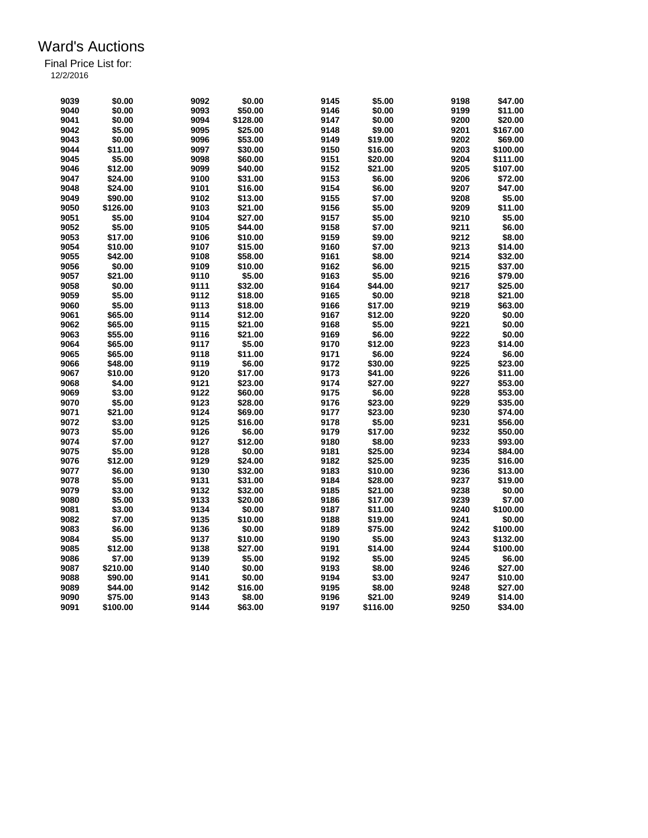| 9039 | \$0.00   | 9092         | \$0.00   | 9145         | \$5.00   | 9198         | \$47.00  |
|------|----------|--------------|----------|--------------|----------|--------------|----------|
| 9040 | \$0.00   | 9093         | \$50.00  | 9146         | \$0.00   | 9199         | \$11.00  |
| 9041 | \$0.00   | 9094         | \$128.00 | 9147         | \$0.00   | 9200         | \$20.00  |
| 9042 | \$5.00   | 9095         | \$25.00  | 9148         | \$9.00   | 9201         | \$167.00 |
| 9043 | \$0.00   | 9096         | \$53.00  | 9149         | \$19.00  | 9202         | \$69.00  |
| 9044 | \$11.00  | 9097         | \$30.00  | 9150         | \$16.00  | 9203         | \$100.00 |
| 9045 | \$5.00   | 9098         | \$60.00  | 9151         | \$20.00  | 9204         | \$111.00 |
| 9046 | \$12.00  | 9099         | \$40.00  | 9152         | \$21.00  | 9205         | \$107.00 |
| 9047 | \$24.00  | 9100         | \$31.00  | 9153         | \$6.00   | 9206         | \$72.00  |
| 9048 | \$24.00  | 9101         | \$16.00  | 9154         | \$6.00   | 9207         | \$47.00  |
| 9049 | \$90.00  | 9102         | \$13.00  | 9155         | \$7.00   | 9208         | \$5.00   |
| 9050 | \$126.00 | 9103         | \$21.00  | 9156         | \$5.00   | 9209         | \$11.00  |
| 9051 | \$5.00   | 9104         | \$27.00  | 9157         | \$5.00   | 9210         | \$5.00   |
| 9052 | \$5.00   | 9105         | \$44.00  | 9158         | \$7.00   | 9211         | \$6.00   |
| 9053 | \$17.00  | 9106         | \$10.00  | 9159         | \$9.00   | 9212         | \$8.00   |
| 9054 | \$10.00  | 9107         | \$15.00  | 9160         | \$7.00   | 9213         | \$14.00  |
| 9055 | \$42.00  | 9108         | \$58.00  | 9161         | \$8.00   | 9214         | \$32.00  |
| 9056 | \$0.00   | 9109         | \$10.00  | 9162         | \$6.00   | 9215         | \$37.00  |
| 9057 | \$21.00  |              | \$5.00   |              | \$5.00   |              | \$79.00  |
| 9058 |          | 9110<br>9111 |          | 9163<br>9164 | \$44.00  | 9216<br>9217 | \$25.00  |
|      | \$0.00   |              | \$32.00  |              |          |              |          |
| 9059 | \$5.00   | 9112         | \$18.00  | 9165         | \$0.00   | 9218         | \$21.00  |
| 9060 | \$5.00   | 9113         | \$18.00  | 9166         | \$17.00  | 9219         | \$63.00  |
| 9061 | \$65.00  | 9114         | \$12.00  | 9167         | \$12.00  | 9220         | \$0.00   |
| 9062 | \$65.00  | 9115         | \$21.00  | 9168         | \$5.00   | 9221         | \$0.00   |
| 9063 | \$55.00  | 9116         | \$21.00  | 9169         | \$6.00   | 9222         | \$0.00   |
| 9064 | \$65.00  | 9117         | \$5.00   | 9170         | \$12.00  | 9223         | \$14.00  |
| 9065 | \$65.00  | 9118         | \$11.00  | 9171         | \$6.00   | 9224         | \$6.00   |
| 9066 | \$48.00  | 9119         | \$6.00   | 9172         | \$30.00  | 9225         | \$23.00  |
| 9067 | \$10.00  | 9120         | \$17.00  | 9173         | \$41.00  | 9226         | \$11.00  |
| 9068 | \$4.00   | 9121         | \$23.00  | 9174         | \$27.00  | 9227         | \$53.00  |
| 9069 | \$3.00   | 9122         | \$60.00  | 9175         | \$6.00   | 9228         | \$53.00  |
| 9070 | \$5.00   | 9123         | \$28.00  | 9176         | \$23.00  | 9229         | \$35.00  |
| 9071 | \$21.00  | 9124         | \$69.00  | 9177         | \$23.00  | 9230         | \$74.00  |
| 9072 | \$3.00   | 9125         | \$16.00  | 9178         | \$5.00   | 9231         | \$56.00  |
| 9073 | \$5.00   | 9126         | \$6.00   | 9179         | \$17.00  | 9232         | \$50.00  |
| 9074 | \$7.00   | 9127         | \$12.00  | 9180         | \$8.00   | 9233         | \$93.00  |
| 9075 | \$5.00   | 9128         | \$0.00   | 9181         | \$25.00  | 9234         | \$84.00  |
| 9076 | \$12.00  | 9129         | \$24.00  | 9182         | \$25.00  | 9235         | \$16.00  |
| 9077 | \$6.00   | 9130         | \$32.00  | 9183         | \$10.00  | 9236         | \$13.00  |
| 9078 | \$5.00   | 9131         | \$31.00  | 9184         | \$28.00  | 9237         | \$19.00  |
| 9079 | \$3.00   | 9132         | \$32.00  | 9185         | \$21.00  | 9238         | \$0.00   |
| 9080 | \$5.00   | 9133         | \$20.00  | 9186         | \$17.00  | 9239         | \$7.00   |
| 9081 | \$3.00   | 9134         | \$0.00   | 9187         | \$11.00  | 9240         | \$100.00 |
| 9082 | \$7.00   | 9135         | \$10.00  | 9188         | \$19.00  | 9241         | \$0.00   |
| 9083 | \$6.00   | 9136         | \$0.00   | 9189         | \$75.00  | 9242         | \$100.00 |
| 9084 | \$5.00   | 9137         | \$10.00  | 9190         | \$5.00   | 9243         | \$132.00 |
| 9085 | \$12.00  | 9138         | \$27.00  | 9191         | \$14.00  | 9244         | \$100.00 |
| 9086 | \$7.00   | 9139         | \$5.00   | 9192         | \$5.00   | 9245         | \$6.00   |
| 9087 | \$210.00 | 9140         | \$0.00   | 9193         | \$8.00   | 9246         | \$27.00  |
| 9088 | \$90.00  | 9141         | \$0.00   | 9194         | \$3.00   | 9247         | \$10.00  |
| 9089 | \$44.00  | 9142         | \$16.00  | 9195         | \$8.00   | 9248         | \$27.00  |
| 9090 | \$75.00  | 9143         | \$8.00   | 9196         | \$21.00  | 9249         | \$14.00  |
| 9091 | \$100.00 | 9144         | \$63.00  | 9197         | \$116.00 | 9250         | \$34.00  |
|      |          |              |          |              |          |              |          |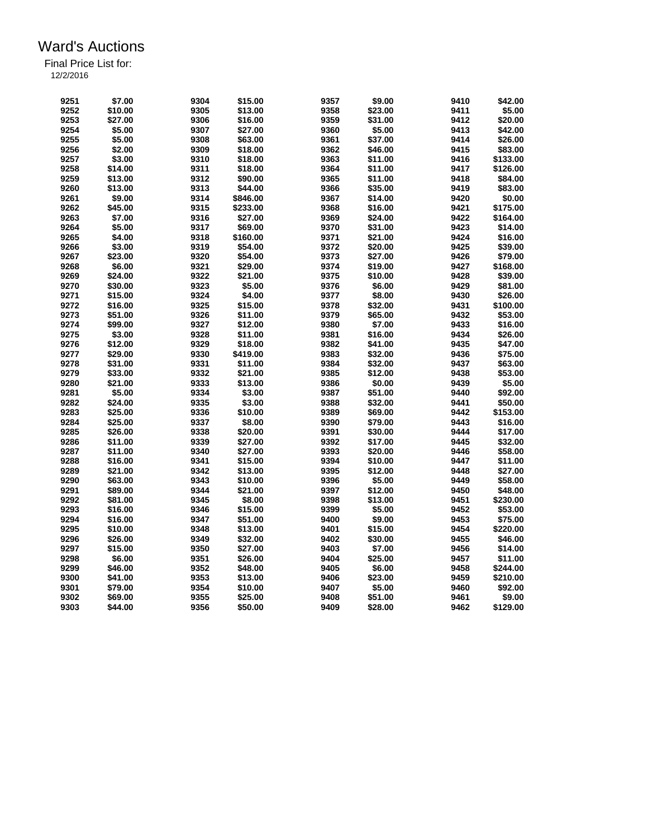| 9251 | \$7.00  | 9304 | \$15.00  | 9357 | \$9.00  | 9410 | \$42.00  |
|------|---------|------|----------|------|---------|------|----------|
| 9252 | \$10.00 | 9305 | \$13.00  | 9358 | \$23.00 | 9411 | \$5.00   |
| 9253 | \$27.00 | 9306 | \$16.00  | 9359 | \$31.00 | 9412 | \$20.00  |
| 9254 | \$5.00  | 9307 | \$27.00  | 9360 | \$5.00  | 9413 | \$42.00  |
| 9255 | \$5.00  | 9308 | \$63.00  | 9361 | \$37.00 | 9414 | \$26.00  |
| 9256 | \$2.00  | 9309 | \$18.00  | 9362 | \$46.00 | 9415 | \$83.00  |
| 9257 | \$3.00  | 9310 | \$18.00  | 9363 | \$11.00 | 9416 | \$133.00 |
| 9258 | \$14.00 | 9311 | \$18.00  | 9364 | \$11.00 | 9417 | \$126.00 |
| 9259 | \$13.00 | 9312 | \$90.00  | 9365 | \$11.00 | 9418 | \$84.00  |
| 9260 | \$13.00 | 9313 | \$44.00  | 9366 | \$35.00 | 9419 | \$83.00  |
| 9261 | \$9.00  | 9314 | \$846.00 | 9367 | \$14.00 | 9420 | \$0.00   |
| 9262 | \$45.00 | 9315 | \$233.00 | 9368 | \$16.00 | 9421 | \$175.00 |
| 9263 | \$7.00  | 9316 | \$27.00  | 9369 | \$24.00 | 9422 | \$164.00 |
| 9264 | \$5.00  | 9317 | \$69.00  | 9370 | \$31.00 | 9423 | \$14.00  |
| 9265 | \$4.00  | 9318 | \$160.00 | 9371 | \$21.00 | 9424 | \$16.00  |
| 9266 | \$3.00  | 9319 | \$54.00  | 9372 | \$20.00 | 9425 | \$39.00  |
| 9267 | \$23.00 | 9320 | \$54.00  | 9373 | \$27.00 | 9426 | \$79.00  |
| 9268 | \$6.00  | 9321 | \$29.00  | 9374 |         | 9427 | \$168.00 |
|      |         |      |          |      | \$19.00 |      |          |
| 9269 | \$24.00 | 9322 | \$21.00  | 9375 | \$10.00 | 9428 | \$39.00  |
| 9270 | \$30.00 | 9323 | \$5.00   | 9376 | \$6.00  | 9429 | \$81.00  |
| 9271 | \$15.00 | 9324 | \$4.00   | 9377 | \$8.00  | 9430 | \$26.00  |
| 9272 | \$16.00 | 9325 | \$15.00  | 9378 | \$32.00 | 9431 | \$100.00 |
| 9273 | \$51.00 | 9326 | \$11.00  | 9379 | \$65.00 | 9432 | \$53.00  |
| 9274 | \$99.00 | 9327 | \$12.00  | 9380 | \$7.00  | 9433 | \$16.00  |
| 9275 | \$3.00  | 9328 | \$11.00  | 9381 | \$16.00 | 9434 | \$26.00  |
| 9276 | \$12.00 | 9329 | \$18.00  | 9382 | \$41.00 | 9435 | \$47.00  |
| 9277 | \$29.00 | 9330 | \$419.00 | 9383 | \$32.00 | 9436 | \$75.00  |
| 9278 | \$31.00 | 9331 | \$11.00  | 9384 | \$32.00 | 9437 | \$63.00  |
| 9279 | \$33.00 | 9332 | \$21.00  | 9385 | \$12.00 | 9438 | \$53.00  |
| 9280 | \$21.00 | 9333 | \$13.00  | 9386 | \$0.00  | 9439 | \$5.00   |
| 9281 | \$5.00  | 9334 | \$3.00   | 9387 | \$51.00 | 9440 | \$92.00  |
| 9282 | \$24.00 | 9335 | \$3.00   | 9388 | \$32.00 | 9441 | \$50.00  |
| 9283 | \$25.00 | 9336 | \$10.00  | 9389 | \$69.00 | 9442 | \$153.00 |
| 9284 | \$25.00 | 9337 | \$8.00   | 9390 | \$79.00 | 9443 | \$16.00  |
| 9285 | \$26.00 | 9338 | \$20.00  | 9391 | \$30.00 | 9444 | \$17.00  |
| 9286 | \$11.00 | 9339 | \$27.00  | 9392 | \$17.00 | 9445 | \$32.00  |
| 9287 | \$11.00 | 9340 | \$27.00  | 9393 | \$20.00 | 9446 | \$58.00  |
| 9288 | \$16.00 | 9341 | \$15.00  | 9394 | \$10.00 | 9447 | \$11.00  |
| 9289 | \$21.00 | 9342 | \$13.00  | 9395 | \$12.00 | 9448 | \$27.00  |
| 9290 | \$63.00 | 9343 | \$10.00  | 9396 | \$5.00  | 9449 | \$58.00  |
| 9291 | \$89.00 | 9344 | \$21.00  | 9397 | \$12.00 | 9450 | \$48.00  |
|      |         |      |          |      |         |      |          |
| 9292 | \$81.00 | 9345 | \$8.00   | 9398 | \$13.00 | 9451 | \$230.00 |
| 9293 | \$16.00 | 9346 | \$15.00  | 9399 | \$5.00  | 9452 | \$53.00  |
| 9294 | \$16.00 | 9347 | \$51.00  | 9400 | \$9.00  | 9453 | \$75.00  |
| 9295 | \$10.00 | 9348 | \$13.00  | 9401 | \$15.00 | 9454 | \$220.00 |
| 9296 | \$26.00 | 9349 | \$32.00  | 9402 | \$30.00 | 9455 | \$46.00  |
| 9297 | \$15.00 | 9350 | \$27.00  | 9403 | \$7.00  | 9456 | \$14.00  |
| 9298 | \$6.00  | 9351 | \$26.00  | 9404 | \$25.00 | 9457 | \$11.00  |
| 9299 | \$46.00 | 9352 | \$48.00  | 9405 | \$6.00  | 9458 | \$244.00 |
| 9300 | \$41.00 | 9353 | \$13.00  | 9406 | \$23.00 | 9459 | \$210.00 |
| 9301 | \$79.00 | 9354 | \$10.00  | 9407 | \$5.00  | 9460 | \$92.00  |
| 9302 | \$69.00 | 9355 | \$25.00  | 9408 | \$51.00 | 9461 | \$9.00   |
| 9303 | \$44.00 | 9356 | \$50.00  | 9409 | \$28.00 | 9462 | \$129.00 |